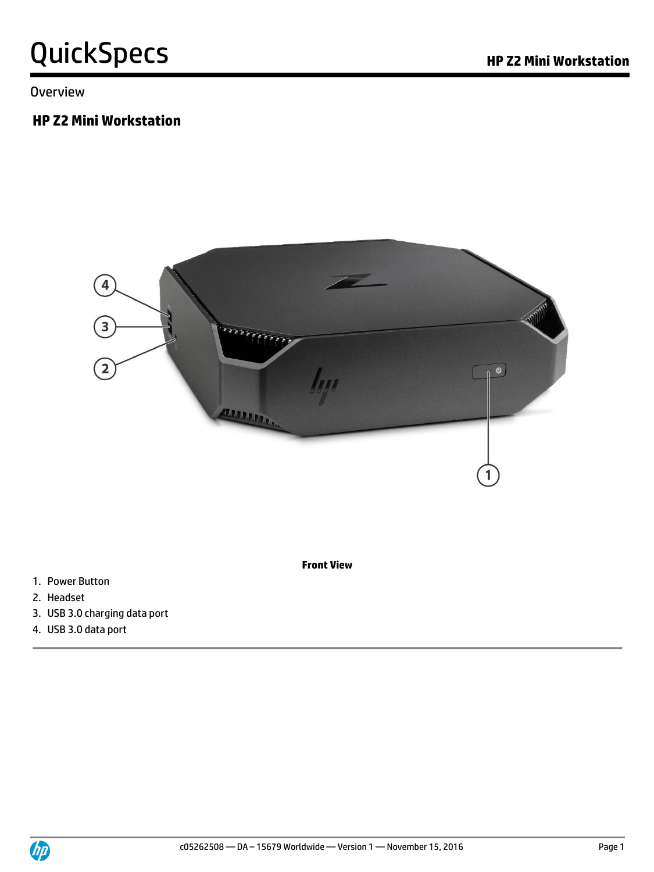**Overview** 

#### **HP Z2 Mini Workstation**



1. Power Button

- 2. Headset
- 3. USB 3.0 charging data port
- 4. USB 3.0 data port

**Front View**

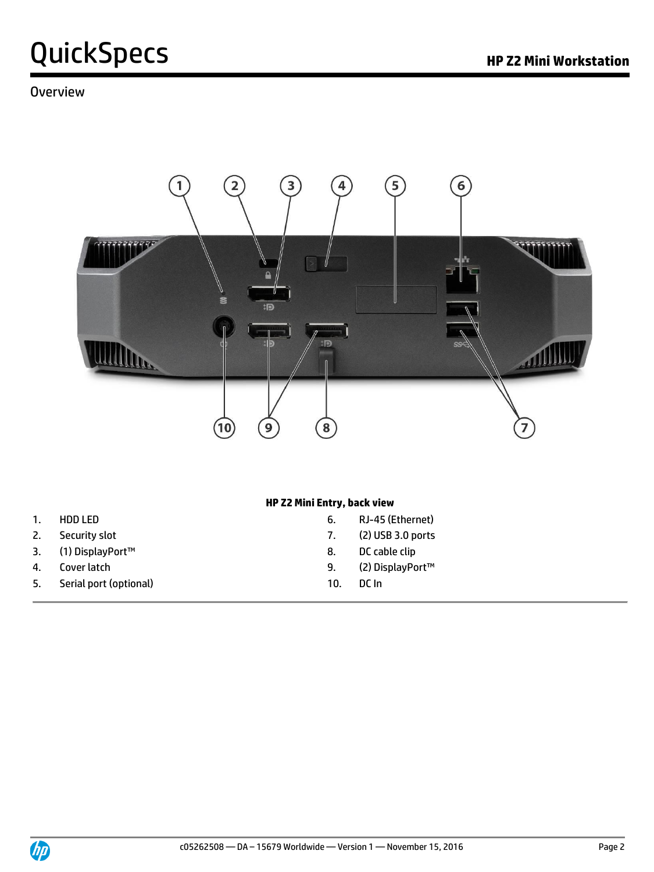#### **Overview**



#### **HP Z2 Mini Entry, back view**

- 
- 
- 3. (1) DisplayPort™ 8. DC cable clip
- 
- 5. Serial port (optional) 10. DC In
- 1. HDD LED 6. RJ-45 (Ethernet)
- 2. Security slot **2.** Security slot **7.** (2) USB 3.0 ports
	-
- 4. Cover latch 9. (2) DisplayPort™
	-

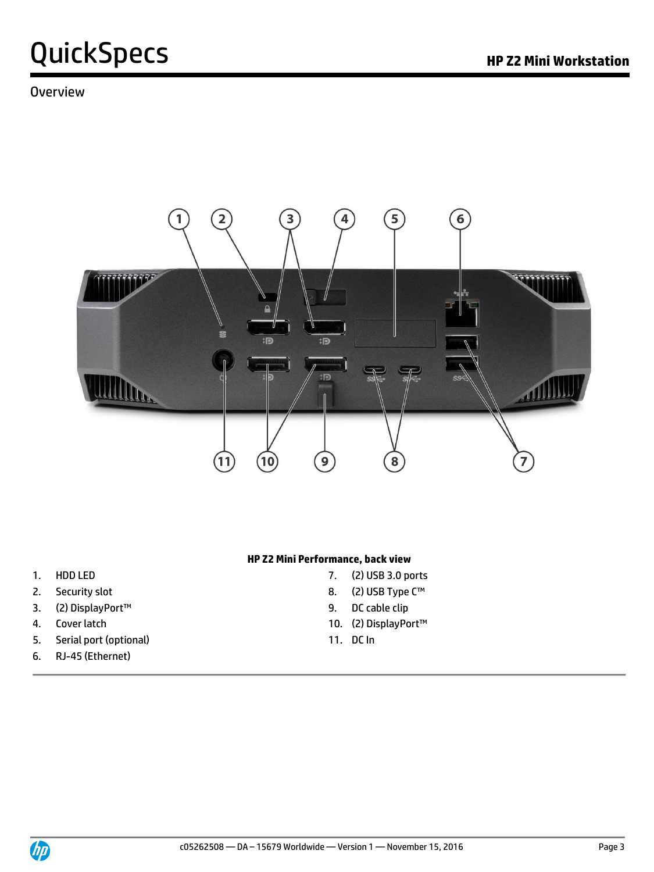#### **Overview**



#### **HP Z2 Mini Performance, back view**

- 
- 
- 3. (2) DisplayPort™ 9. DC cable clip
- 
- 5. Serial port (optional) 11. DC In
- 6. RJ-45 (Ethernet)
- 1. HDD LED 7. (2) USB 3.0 ports
- 2. Security slot and the state of the state 8. (2) USB Type C™
	-
- 4. Cover latch 10. (2) DisplayPort™
	-

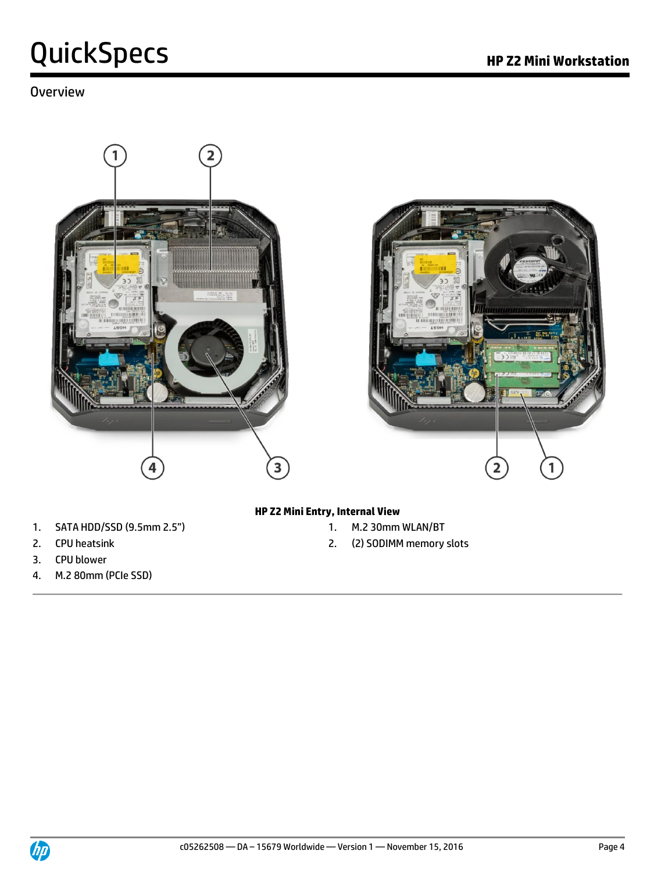#### Overview





- 1. SATA HDD/SSD (9.5mm 2.5") 1. M.2 30mm WLAN/BT
- 
- 3. CPU blower
- 4. M.2 80mm (PCIe SSD)

#### **HP Z2 Mini Entry, Internal View**

- 
- 2. CPU heatsink **2.** CPU heatsink

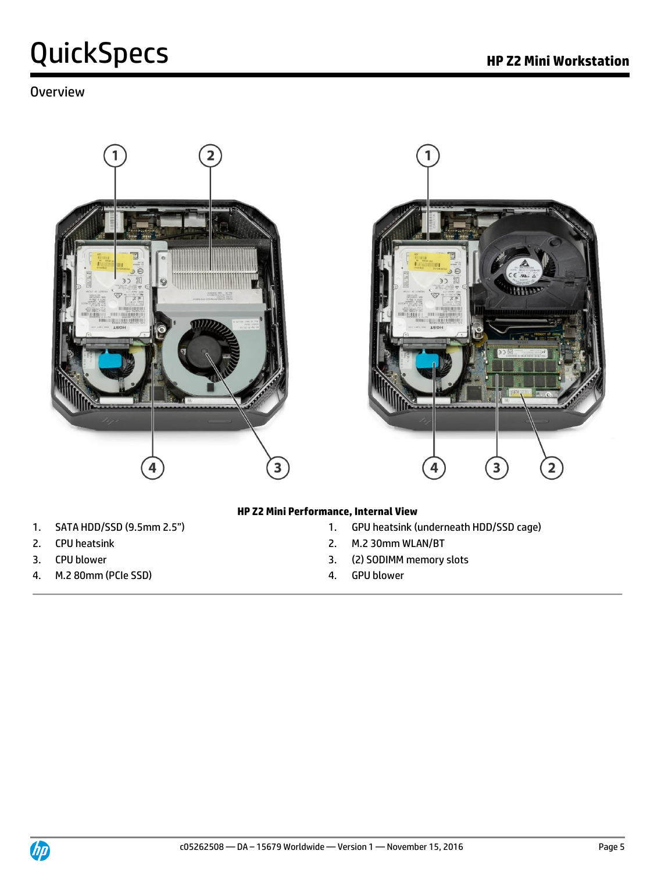#### **Overview**





#### **HP Z2 Mini Performance, Internal View**

- 
- 
- 
- 4. M.2 80mm (PCIe SSD) 4. GPU blower
- 1. SATA HDD/SSD (9.5mm 2.5") 1. GPU heatsink (underneath HDD/SSD cage)
- 2. CPU heatsink **2.** CPU heatsink
- 3. CPU blower 3. (2) SODIMM memory slots
	-

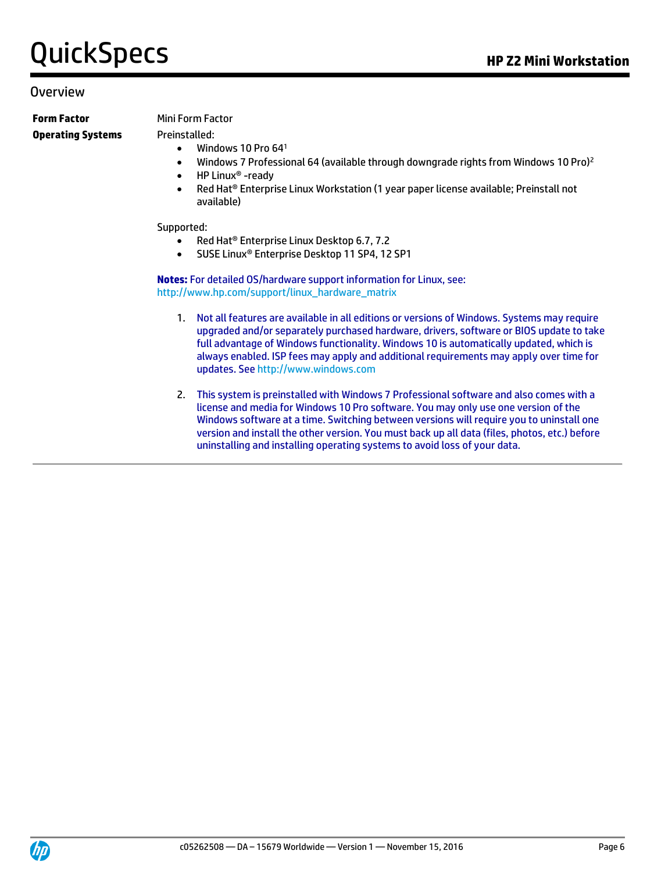#### Overview

**Form Factor Mini Form Factor Operating Systems** Preinstalled:

- $\bullet$  Windows 10 Pro 64<sup>1</sup>
- Windows 7 Professional 64 (available through downgrade rights from Windows 10 Pro)<sup>2</sup>
- HP Linux<sup>®</sup> -ready
- Red Hat® Enterprise Linux Workstation (1 year paper license available; Preinstall not available)

#### Supported:

- Red Hat<sup>®</sup> Enterprise Linux Desktop 6.7, 7.2
- SUSE Linux® Enterprise Desktop 11 SP4, 12 SP1

**Notes:** For detailed OS/hardware support information for Linux, see: http://www.hp.com/support/linux\_hardware\_matrix

- 1. Not all features are available in all editions or versions of Windows. Systems may require upgraded and/or separately purchased hardware, drivers, software or BIOS update to take full advantage of Windows functionality. Windows 10 is automatically updated, which is always enabled. ISP fees may apply and additional requirements may apply over time for updates. See http://www.windows.com
- 2. This system is preinstalled with Windows 7 Professional software and also comes with a license and media for Windows 10 Pro software. You may only use one version of the Windows software at a time. Switching between versions will require you to uninstall one version and install the other version. You must back up all data (files, photos, etc.) before uninstalling and installing operating systems to avoid loss of your data.

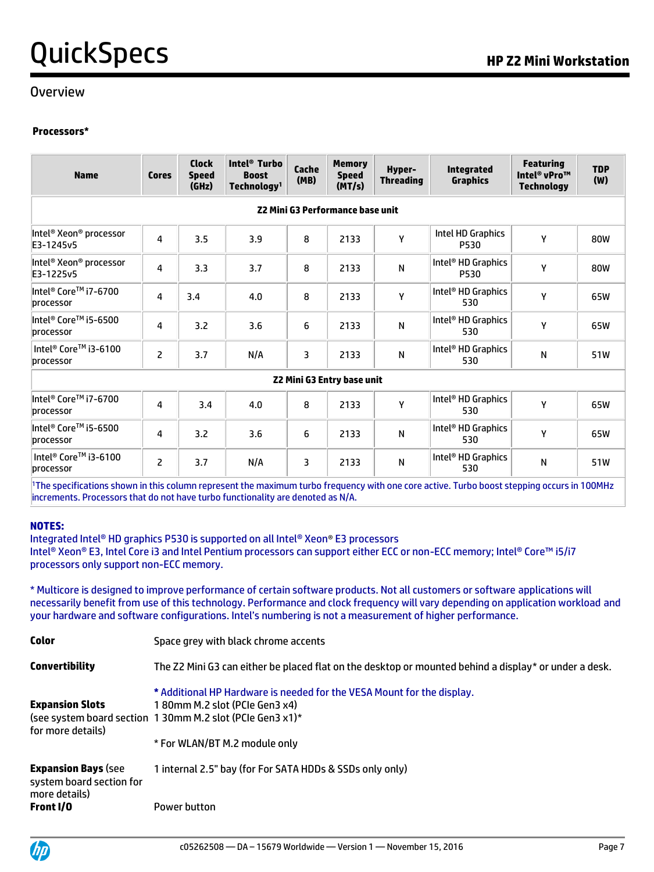#### Overview

#### **Processors\***

| <b>Name</b>                                     | <b>Cores</b>   | <b>Clock</b><br><b>Speed</b><br>(GHz) | Intel <sup>®</sup> Turbo<br><b>Boost</b><br>Technology <sup>1</sup> | Cache<br>(MB) | <b>Memory</b><br><b>Speed</b><br>(MT/s) | Hyper-<br><b>Threading</b> | <b>Integrated</b><br><b>Graphics</b>   | <b>Featuring</b><br>Intel <sup>®</sup> vPro™<br><b>Technology</b> | <b>TDP</b><br>(W) |
|-------------------------------------------------|----------------|---------------------------------------|---------------------------------------------------------------------|---------------|-----------------------------------------|----------------------------|----------------------------------------|-------------------------------------------------------------------|-------------------|
|                                                 |                |                                       |                                                                     |               | Z2 Mini G3 Performance base unit        |                            |                                        |                                                                   |                   |
| Intel <sup>®</sup> Xeon® processor<br>E3-1245v5 | 4              | 3.5                                   | 3.9                                                                 | 8             | 2133                                    | Υ                          | Intel HD Graphics<br>P530              | Υ                                                                 | 80W               |
| Intel® Xeon® processor<br>E3-1225v5             | 4              | 3.3                                   | 3.7                                                                 | 8             | 2133                                    | N                          | Intel <sup>®</sup> HD Graphics<br>P530 | Υ                                                                 | 80W               |
| Intel® Core™ i7-6700<br>processor               | 4              | 3.4                                   | 4.0                                                                 | 8             | 2133                                    | Y                          | Intel <sup>®</sup> HD Graphics<br>530  | Υ                                                                 | 65W               |
| lIntel® Core™ i5-6500<br>processor              | 4              | 3.2                                   | 3.6                                                                 | 6             | 2133                                    | N                          | Intel <sup>®</sup> HD Graphics<br>530  | Υ                                                                 | 65W               |
| Intel® Core™ i3-6100<br>processor               | $\overline{c}$ | 3.7                                   | N/A                                                                 | 3             | 2133                                    | N                          | Intel <sup>®</sup> HD Graphics<br>530  | N                                                                 | 51W               |
|                                                 |                |                                       |                                                                     |               | Z2 Mini G3 Entry base unit              |                            |                                        |                                                                   |                   |
| Intel® Core™ i7-6700<br>processor               | 4              | 3.4                                   | 4.0                                                                 | 8             | 2133                                    | Υ                          | Intel <sup>®</sup> HD Graphics<br>530  | Υ                                                                 | 65W               |
| lIntel® Core™ i5-6500<br>processor              | 4              | 3.2                                   | 3.6                                                                 | 6             | 2133                                    | N                          | Intel <sup>®</sup> HD Graphics<br>530  | Υ                                                                 | 65W               |
| Intel <sup>®</sup> Core™ i3-6100<br>processor   | $\overline{2}$ | 3.7                                   | N/A                                                                 | 3             | 2133                                    | N                          | Intel <sup>®</sup> HD Graphics<br>530  | N                                                                 | 51W               |

<sup>1</sup>The specifications shown in this column represent the maximum turbo frequency with one core active. Turbo boost stepping occurs in 100MHz increments. Processors that do not have turbo functionality are denoted as N/A.

#### **NOTES:**

Integrated Intel® HD graphics P530 is supported on all Intel® Xeon® E3 processors Intel® Xeon® E3, Intel Core i3 and Intel Pentium processors can support either ECC or non-ECC memory; Intel® Core™ i5/i7 processors only support non-ECC memory.

\* Multicore is designed to improve performance of certain software products. Not all customers or software applications will necessarily benefit from use of this technology. Performance and clock frequency will vary depending on application workload and your hardware and software configurations. Intel's numbering is not a measurement of higher performance.

| <b>Color</b>                                                            | Space grey with black chrome accents                                                                  |
|-------------------------------------------------------------------------|-------------------------------------------------------------------------------------------------------|
| <b>Convertibility</b>                                                   | The Z2 Mini G3 can either be placed flat on the desktop or mounted behind a display* or under a desk. |
|                                                                         | * Additional HP Hardware is needed for the VESA Mount for the display.                                |
| <b>Expansion Slots</b>                                                  | 180mm M.2 slot (PCIe Gen3 x4)                                                                         |
| for more details)                                                       | (see system board section 130mm M.2 slot (PCIe Gen3 x1)*                                              |
|                                                                         | * For WLAN/BT M.2 module only                                                                         |
| <b>Expansion Bays (see</b><br>system board section for<br>more details) | 1 internal 2.5" bay (for For SATA HDDs & SSDs only only)                                              |
| Front I/O                                                               | Power button                                                                                          |

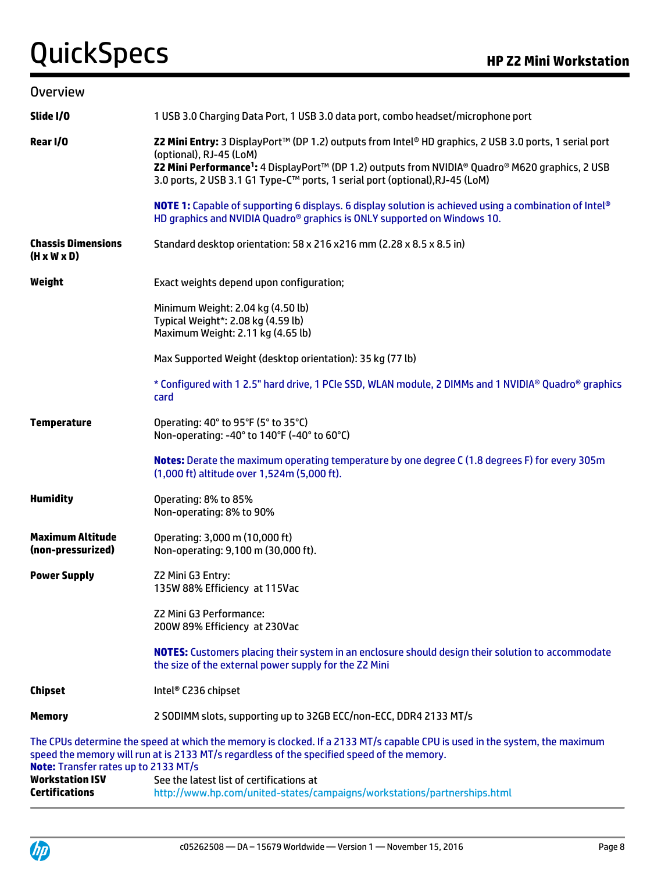| <b>Overview</b>                                      |                                                                                                                                                                                                                                                                                                                                   |
|------------------------------------------------------|-----------------------------------------------------------------------------------------------------------------------------------------------------------------------------------------------------------------------------------------------------------------------------------------------------------------------------------|
| Slide I/O                                            | 1 USB 3.0 Charging Data Port, 1 USB 3.0 data port, combo headset/microphone port                                                                                                                                                                                                                                                  |
| Rear I/O                                             | Z2 Mini Entry: 3 DisplayPort™ (DP 1.2) outputs from Intel® HD graphics, 2 USB 3.0 ports, 1 serial port<br>(optional), RJ-45 (LoM)<br>Z2 Mini Performance <sup>1</sup> : 4 DisplayPort™ (DP 1.2) outputs from NVIDIA® Quadro® M620 graphics, 2 USB<br>3.0 ports, 2 USB 3.1 G1 Type-C™ ports, 1 serial port (optional), RJ-45 (LoM) |
|                                                      | <b>NOTE 1:</b> Capable of supporting 6 displays. 6 display solution is achieved using a combination of Intel®<br>HD graphics and NVIDIA Quadro <sup>®</sup> graphics is ONLY supported on Windows 10.                                                                                                                             |
| <b>Chassis Dimensions</b><br>$(H \times W \times D)$ | Standard desktop orientation: 58 x 216 x216 mm (2.28 x 8.5 x 8.5 in)                                                                                                                                                                                                                                                              |
| Weight                                               | Exact weights depend upon configuration;                                                                                                                                                                                                                                                                                          |
|                                                      | Minimum Weight: 2.04 kg (4.50 lb)<br>Typical Weight*: 2.08 kg (4.59 lb)<br>Maximum Weight: 2.11 kg (4.65 lb)                                                                                                                                                                                                                      |
|                                                      | Max Supported Weight (desktop orientation): 35 kg (77 lb)                                                                                                                                                                                                                                                                         |
|                                                      | * Configured with 1 2.5" hard drive, 1 PCIe SSD, WLAN module, 2 DIMMs and 1 NVIDIA® Quadro® graphics<br>card                                                                                                                                                                                                                      |
| <b>Temperature</b>                                   | Operating: 40° to 95°F (5° to 35°C)<br>Non-operating: -40° to 140°F (-40° to 60°C)                                                                                                                                                                                                                                                |
|                                                      | Notes: Derate the maximum operating temperature by one degree C (1.8 degrees F) for every 305m<br>(1,000 ft) altitude over 1,524m (5,000 ft).                                                                                                                                                                                     |
| <b>Humidity</b>                                      | Operating: 8% to 85%<br>Non-operating: 8% to 90%                                                                                                                                                                                                                                                                                  |
| <b>Maximum Altitude</b><br>(non-pressurized)         | Operating: 3,000 m (10,000 ft)<br>Non-operating: 9,100 m (30,000 ft).                                                                                                                                                                                                                                                             |
| <b>Power Supply</b>                                  | Z2 Mini G3 Entry:<br>135W 88% Efficiency at 115Vac                                                                                                                                                                                                                                                                                |
|                                                      | Z2 Mini G3 Performance:<br>200W 89% Efficiency at 230Vac                                                                                                                                                                                                                                                                          |
|                                                      | <b>NOTES:</b> Customers placing their system in an enclosure should design their solution to accommodate<br>the size of the external power supply for the Z2 Mini                                                                                                                                                                 |
| <b>Chipset</b>                                       | Intel® C236 chipset                                                                                                                                                                                                                                                                                                               |
| <b>Memory</b>                                        | 2 SODIMM slots, supporting up to 32GB ECC/non-ECC, DDR4 2133 MT/s                                                                                                                                                                                                                                                                 |
| Note: Transfer rates up to 2133 MT/s                 | The CPUs determine the speed at which the memory is clocked. If a 2133 MT/s capable CPU is used in the system, the maximum<br>speed the memory will run at is 2133 MT/s regardless of the specified speed of the memory.                                                                                                          |
| <b>Workstation ISV</b><br><b>Certifications</b>      | See the latest list of certifications at<br>http://www.hp.com/united-states/campaigns/workstations/partnerships.html                                                                                                                                                                                                              |

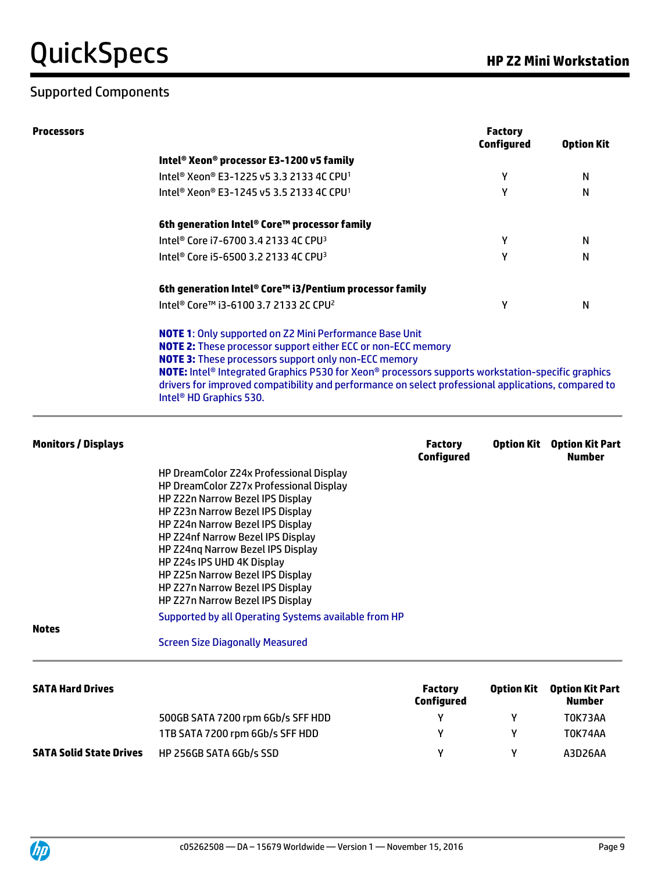#### Supported Components

| Processors                     |                                                                                                                                                                                                                                                                                                                                                                                                                                                                                                                      |                                     | <b>Factory</b><br><b>Configured</b> | <b>Option Kit</b>                       |
|--------------------------------|----------------------------------------------------------------------------------------------------------------------------------------------------------------------------------------------------------------------------------------------------------------------------------------------------------------------------------------------------------------------------------------------------------------------------------------------------------------------------------------------------------------------|-------------------------------------|-------------------------------------|-----------------------------------------|
|                                | Intel® Xeon® processor E3-1200 v5 family                                                                                                                                                                                                                                                                                                                                                                                                                                                                             |                                     |                                     |                                         |
|                                | Intel <sup>®</sup> Xeon® E3-1225 v5 3.3 2133 4C CPU <sup>1</sup>                                                                                                                                                                                                                                                                                                                                                                                                                                                     |                                     | Υ                                   | N                                       |
|                                | Intel <sup>®</sup> Xeon® E3-1245 v5 3.5 2133 4C CPU <sup>1</sup>                                                                                                                                                                                                                                                                                                                                                                                                                                                     |                                     | Υ                                   | N                                       |
|                                | 6th generation Intel® Core™ processor family                                                                                                                                                                                                                                                                                                                                                                                                                                                                         |                                     |                                     |                                         |
|                                | Intel® Core i7-6700 3.4 2133 4C CPU <sup>3</sup>                                                                                                                                                                                                                                                                                                                                                                                                                                                                     |                                     | Υ                                   | N                                       |
|                                | Intel® Core i5-6500 3.2 2133 4C CPU <sup>3</sup>                                                                                                                                                                                                                                                                                                                                                                                                                                                                     |                                     | Υ                                   | N                                       |
|                                | 6th generation Intel® Core™ i3/Pentium processor family                                                                                                                                                                                                                                                                                                                                                                                                                                                              |                                     |                                     |                                         |
|                                | Intel <sup>®</sup> Core™ i3-6100 3.7 2133 2C CPU <sup>2</sup>                                                                                                                                                                                                                                                                                                                                                                                                                                                        |                                     | Υ                                   | N                                       |
|                                | <b>NOTE 1:</b> Only supported on Z2 Mini Performance Base Unit<br><b>NOTE 2:</b> These processor support either ECC or non-ECC memory<br><b>NOTE 3:</b> These processors support only non-ECC memory<br>NOTE: Intel® Integrated Graphics P530 for Xeon® processors supports workstation-specific graphics<br>drivers for improved compatibility and performance on select professional applications, compared to<br>Intel <sup>®</sup> HD Graphics 530.                                                              |                                     |                                     |                                         |
| <b>Monitors / Displays</b>     |                                                                                                                                                                                                                                                                                                                                                                                                                                                                                                                      | <b>Factory</b><br><b>Configured</b> | <b>Option Kit</b>                   | <b>Option Kit Part</b><br><b>Number</b> |
| <b>Notes</b>                   | HP DreamColor Z24x Professional Display<br>HP DreamColor Z27x Professional Display<br>HP Z22n Narrow Bezel IPS Display<br>HP Z23n Narrow Bezel IPS Display<br>HP Z24n Narrow Bezel IPS Display<br>HP Z24nf Narrow Bezel IPS Display<br>HP Z24ng Narrow Bezel IPS Display<br>HP Z24s IPS UHD 4K Display<br>HP Z25n Narrow Bezel IPS Display<br>HP Z27n Narrow Bezel IPS Display<br>HP Z27n Narrow Bezel IPS Display<br>Supported by all Operating Systems available from HP<br><b>Screen Size Diagonally Measured</b> |                                     |                                     |                                         |
| <b>SATA Hard Drives</b>        |                                                                                                                                                                                                                                                                                                                                                                                                                                                                                                                      | <b>Factory</b><br><b>Configured</b> | <b>Option Kit</b>                   | <b>Option Kit Part</b><br><b>Number</b> |
|                                | 500GB SATA 7200 rpm 6Gb/s SFF HDD                                                                                                                                                                                                                                                                                                                                                                                                                                                                                    | Υ                                   | Y                                   | T0K73AA                                 |
|                                | 1TB SATA 7200 rpm 6Gb/s SFF HDD                                                                                                                                                                                                                                                                                                                                                                                                                                                                                      | Υ                                   | Υ                                   | T0K74AA                                 |
| <b>SATA Solid State Drives</b> | HP 256GB SATA 6Gb/s SSD                                                                                                                                                                                                                                                                                                                                                                                                                                                                                              | Υ                                   | Y                                   | A3D26AA                                 |

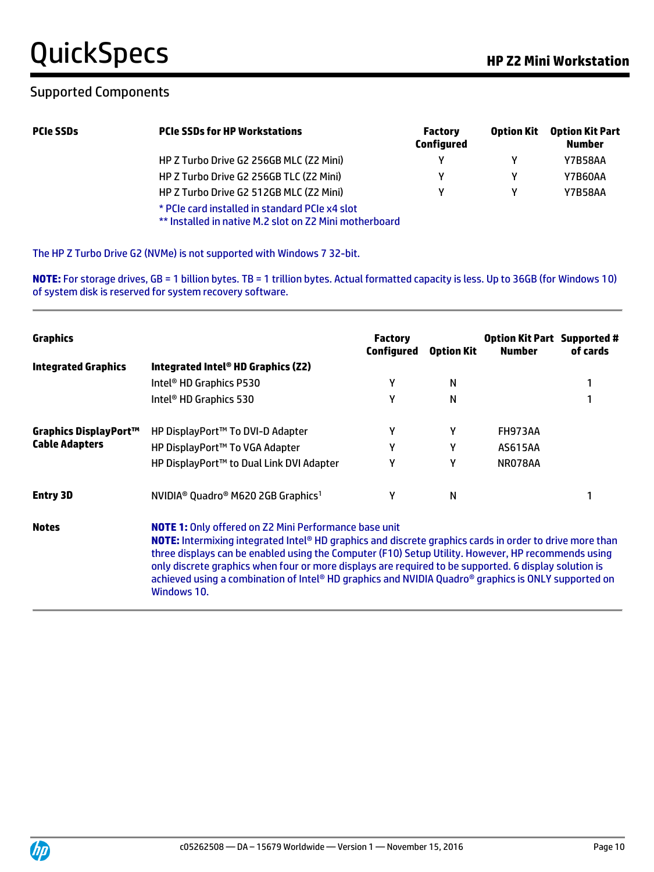#### Supported Components

| <b>PCIe SSDs</b> | <b>PCIe SSDs for HP Workstations</b>                                                                     | <b>Factory</b><br><b>Configured</b> | Option Kit | <b>Option Kit Part</b><br><b>Number</b> |
|------------------|----------------------------------------------------------------------------------------------------------|-------------------------------------|------------|-----------------------------------------|
|                  | HP Z Turbo Drive G2 256GB MLC (Z2 Mini)                                                                  | v                                   |            | <b>Y7B58AA</b>                          |
|                  | HP Z Turbo Drive G2 256GB TLC (Z2 Mini)                                                                  | v                                   |            | Y7B60AA                                 |
|                  | HP Z Turbo Drive G2 512GB MLC (Z2 Mini)                                                                  | v                                   |            | <b>Y7B58AA</b>                          |
|                  | * PCIe card installed in standard PCIe x4 slot<br>** Installed in native M.2 slot on Z2 Mini motherboard |                                     |            |                                         |

The HP Z Turbo Drive G2 (NVMe) is not supported with Windows 7 32-bit.

**NOTE:** For storage drives, GB = 1 billion bytes. TB = 1 trillion bytes. Actual formatted capacity is less. Up to 36GB (for Windows 10) of system disk is reserved for system recovery software.

| <b>Graphics</b>            |                                                                                                                                                                                                                                                                                                                                                                                                                                                                                                              | <b>Factory</b><br>Configured | <b>Option Kit</b> | <b>Option Kit Part Supported #</b><br><b>Number</b> | of cards |
|----------------------------|--------------------------------------------------------------------------------------------------------------------------------------------------------------------------------------------------------------------------------------------------------------------------------------------------------------------------------------------------------------------------------------------------------------------------------------------------------------------------------------------------------------|------------------------------|-------------------|-----------------------------------------------------|----------|
| <b>Integrated Graphics</b> | Integrated Intel® HD Graphics (Z2)                                                                                                                                                                                                                                                                                                                                                                                                                                                                           |                              |                   |                                                     |          |
|                            | Intel <sup>®</sup> HD Graphics P530                                                                                                                                                                                                                                                                                                                                                                                                                                                                          | γ                            | N                 |                                                     |          |
|                            | Intel <sup>®</sup> HD Graphics 530                                                                                                                                                                                                                                                                                                                                                                                                                                                                           | γ                            | N                 |                                                     |          |
| Graphics DisplayPort™      | HP DisplayPort™ To DVI-D Adapter                                                                                                                                                                                                                                                                                                                                                                                                                                                                             | γ                            | γ                 | <b>FH973AA</b>                                      |          |
| <b>Cable Adapters</b>      | HP DisplayPort™ To VGA Adapter                                                                                                                                                                                                                                                                                                                                                                                                                                                                               | γ                            | γ                 | <b>AS615AA</b>                                      |          |
|                            | HP DisplayPort™ to Dual Link DVI Adapter                                                                                                                                                                                                                                                                                                                                                                                                                                                                     | γ                            | γ                 | NR078AA                                             |          |
| <b>Entry 3D</b>            | NVIDIA® Quadro® M620 2GB Graphics <sup>1</sup>                                                                                                                                                                                                                                                                                                                                                                                                                                                               | γ                            | N                 |                                                     |          |
| <b>Notes</b>               | <b>NOTE 1:</b> Only offered on Z2 Mini Performance base unit<br>NOTE: Intermixing integrated Intel® HD graphics and discrete graphics cards in order to drive more than<br>three displays can be enabled using the Computer (F10) Setup Utility. However, HP recommends using<br>only discrete graphics when four or more displays are required to be supported. 6 display solution is<br>achieved using a combination of Intel® HD graphics and NVIDIA Quadro® graphics is ONLY supported on<br>Windows 10. |                              |                   |                                                     |          |

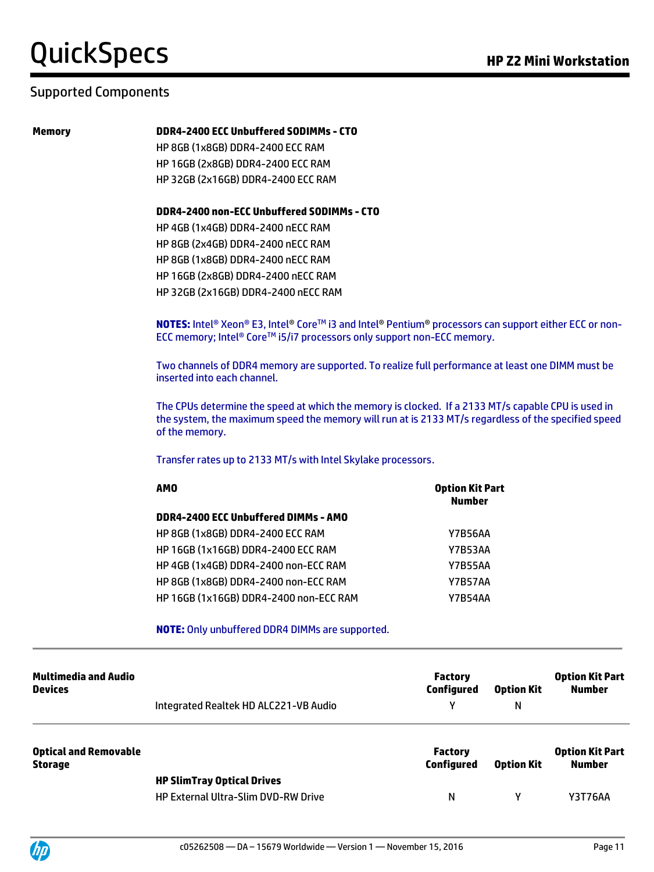#### Supported Components

#### **Memory DDR4-2400 ECC Unbuffered SODIMMs - CTO**

HP 8GB (1x8GB) DDR4-2400 ECC RAM HP 16GB (2x8GB) DDR4-2400 ECC RAM HP 32GB (2x16GB) DDR4-2400 ECC RAM

#### **DDR4-2400 non-ECC Unbuffered SODIMMs - CTO**

HP 4GB (1x4GB) DDR4-2400 nECC RAM HP 8GB (2x4GB) DDR4-2400 nECC RAM HP 8GB (1x8GB) DDR4-2400 nECC RAM HP 16GB (2x8GB) DDR4-2400 nECC RAM HP 32GB (2x16GB) DDR4-2400 nECC RAM

**NOTES:** Intel® Xeon® E3, Intel® Core™ i3 and Intel® Pentium® processors can support either ECC or non-ECC memory; Intel® Core™ i5/i7 processors only support non-ECC memory.

Two channels of DDR4 memory are supported. To realize full performance at least one DIMM must be inserted into each channel.

The CPUs determine the speed at which the memory is clocked. If a 2133 MT/s capable CPU is used in the system, the maximum speed the memory will run at is 2133 MT/s regardless of the specified speed of the memory.

Transfer rates up to 2133 MT/s with Intel Skylake processors.

| <b>AMO</b>                              | <b>Option Kit Part</b><br><b>Number</b> |
|-----------------------------------------|-----------------------------------------|
| DDR4-2400 ECC Unbuffered DIMMs - AMO    |                                         |
| <b>HP 8GB (1x8GB) DDR4-2400 ECC RAM</b> | Y7B56AA                                 |
| HP 16GB (1x16GB) DDR4-2400 ECC RAM      | Y7B53AA                                 |
| HP 4GB (1x4GB) DDR4-2400 non-ECC RAM    | <b>Y7B55AA</b>                          |
| HP 8GB (1x8GB) DDR4-2400 non-ECC RAM    | Y7B57AA                                 |
| HP 16GB (1x16GB) DDR4-2400 non-ECC RAM  | <b>Y7B54AA</b>                          |

#### **NOTE:** Only unbuffered DDR4 DIMMs are supported.

| Multimedia and Audio<br><b>Devices</b>         | Integrated Realtek HD ALC221-VB Audio      | <b>Factory</b><br>Configured<br>v | <b>Option Kit</b><br>N | <b>Option Kit Part</b><br><b>Number</b> |
|------------------------------------------------|--------------------------------------------|-----------------------------------|------------------------|-----------------------------------------|
| <b>Optical and Removable</b><br><b>Storage</b> |                                            | <b>Factory</b><br>Configured      | <b>Option Kit</b>      | <b>Option Kit Part</b><br><b>Number</b> |
|                                                | <b>HP SlimTray Optical Drives</b>          |                                   |                        |                                         |
|                                                | <b>HP External Ultra-Slim DVD-RW Drive</b> | N                                 | γ                      | <b>Y3T76AA</b>                          |

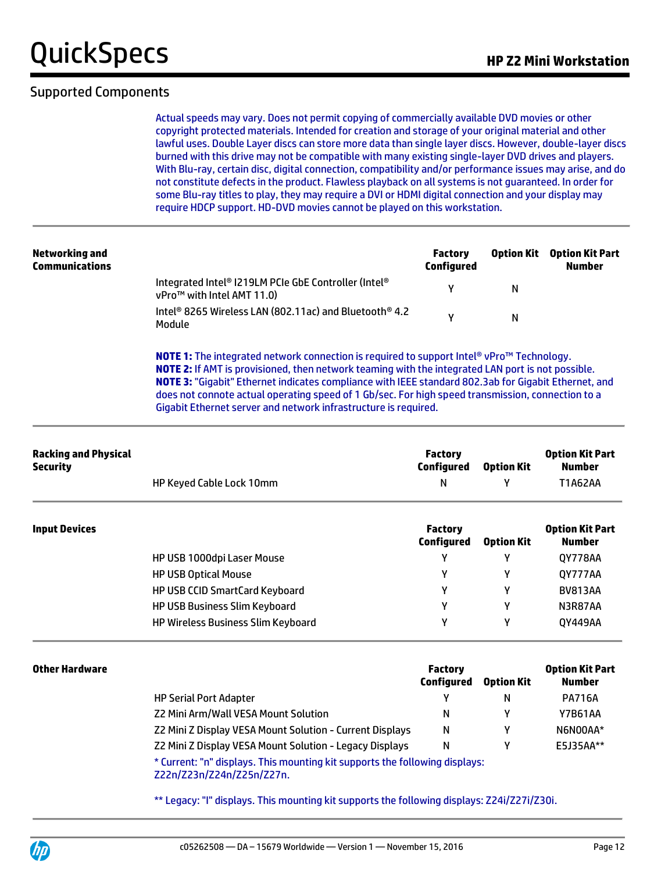#### Supported Components

Actual speeds may vary. Does not permit copying of commercially available DVD movies or other copyright protected materials. Intended for creation and storage of your original material and other lawful uses. Double Layer discs can store more data than single layer discs. However, double-layer discs burned with this drive may not be compatible with many existing single-layer DVD drives and players. With Blu-ray, certain disc, digital connection, compatibility and/or performance issues may arise, and do not constitute defects in the product. Flawless playback on all systems is not guaranteed. In order for some Blu-ray titles to play, they may require a DVI or HDMI digital connection and your display may require HDCP support. HD-DVD movies cannot be played on this workstation.

| Networking and<br><b>Communications</b> |                                                                                                | Factory<br>Configured | <b>Option Kit</b> | Option Kit Part<br><b>Number</b> |
|-----------------------------------------|------------------------------------------------------------------------------------------------|-----------------------|-------------------|----------------------------------|
|                                         | Integrated Intel® I219LM PCIe GbE Controller (Intel®<br>vPro <sup>™</sup> with Intel AMT 11.0) |                       | N                 |                                  |
|                                         | Intel <sup>®</sup> 8265 Wireless LAN (802.11ac) and Bluetooth <sup>®</sup> 4.2<br>Module       |                       | N                 |                                  |

**NOTE 1:** The integrated network connection is required to support Intel® vPro™ Technology. **NOTE 2:** If AMT is provisioned, then network teaming with the integrated LAN port is not possible. **NOTE 3:** "Gigabit" Ethernet indicates compliance with IEEE standard 802.3ab for Gigabit Ethernet, and does not connote actual operating speed of 1 Gb/sec. For high speed transmission, connection to a Gigabit Ethernet server and network infrastructure is required.

| <b>Racking and Physical</b><br><b>Security</b> |                                           | <b>Factory</b><br><b>Configured</b> | <b>Option Kit</b> | <b>Option Kit Part</b><br><b>Number</b> |  |
|------------------------------------------------|-------------------------------------------|-------------------------------------|-------------------|-----------------------------------------|--|
|                                                | <b>HP Keyed Cable Lock 10mm</b>           | N                                   |                   | T1A62AA                                 |  |
| <b>Input Devices</b>                           |                                           | <b>Factory</b><br>Configured        | <b>Option Kit</b> | <b>Option Kit Part</b><br><b>Number</b> |  |
|                                                | HP USB 1000dpi Laser Mouse                | γ                                   | γ                 | 0Y778AA                                 |  |
|                                                | <b>HP USB Optical Mouse</b>               | γ                                   | γ                 | QY777AA                                 |  |
|                                                | <b>HP USB CCID SmartCard Keyboard</b>     | Υ                                   | Υ                 | <b>BV813AA</b>                          |  |
|                                                | <b>HP USB Business Slim Keyboard</b>      | γ                                   | γ                 | N3R87AA                                 |  |
|                                                | <b>HP Wireless Business Slim Keyboard</b> | Υ                                   | Υ                 | 0Y449AA                                 |  |

| <b>Other Hardware</b> |                                                                                                          | <b>Factory</b><br>Configured | <b>Option Kit</b> | <b>Option Kit Part</b><br>Number |
|-----------------------|----------------------------------------------------------------------------------------------------------|------------------------------|-------------------|----------------------------------|
|                       | <b>HP Serial Port Adapter</b>                                                                            |                              | N                 | <b>PA716A</b>                    |
|                       | Z2 Mini Arm/Wall VESA Mount Solution                                                                     | N                            |                   | <b>Y7B61AA</b>                   |
|                       | Z2 Mini Z Display VESA Mount Solution - Current Displays                                                 | N                            |                   | N6N00AA*                         |
|                       | Z2 Mini Z Display VESA Mount Solution - Legacy Displays                                                  | N                            |                   | E5J35AA**                        |
|                       | * Current: "n" displays. This mounting kit supports the following displays:<br>Z22n/Z23n/Z24n/Z25n/Z27n. |                              |                   |                                  |

\*\* Legacy: "I" displays. This mounting kit supports the following displays: Z24i/Z27i/Z30i.

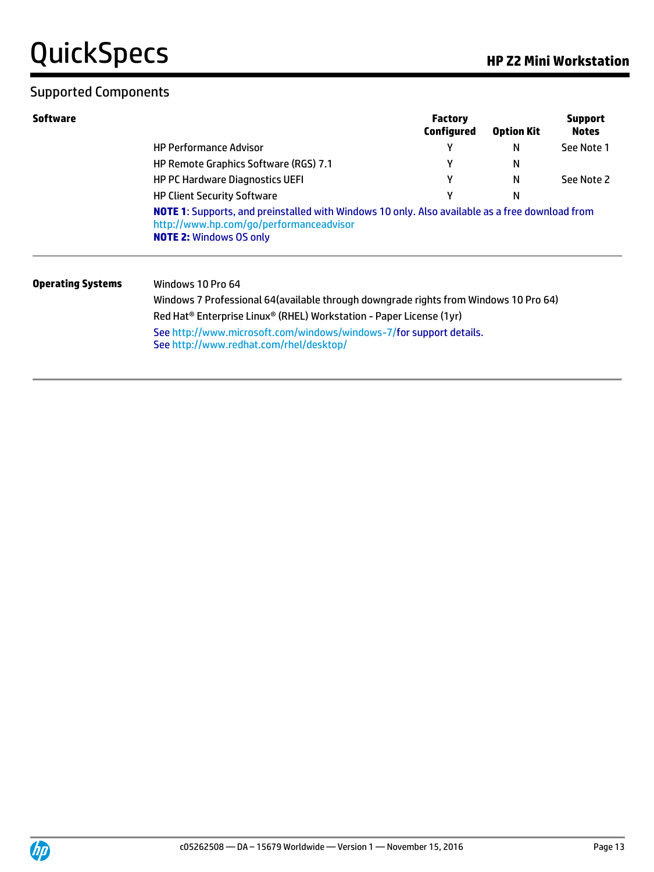## Supported Components

| Software                 |                                                                                                                | <b>Factory</b><br>Configured | <b>Option Kit</b> | <b>Support</b><br><b>Notes</b> |
|--------------------------|----------------------------------------------------------------------------------------------------------------|------------------------------|-------------------|--------------------------------|
|                          | <b>HP Performance Advisor</b>                                                                                  |                              | N                 | See Note 1                     |
|                          | HP Remote Graphics Software (RGS) 7.1                                                                          |                              | N                 |                                |
|                          | <b>HP PC Hardware Diagnostics UEFI</b>                                                                         | γ                            | N                 | See Note 2                     |
|                          | <b>HP Client Security Software</b>                                                                             | v                            | N                 |                                |
|                          | http://www.hp.com/go/performanceadvisor<br><b>NOTE 2: Windows OS only</b>                                      |                              |                   |                                |
| <b>Operating Systems</b> | Windows 10 Pro 64                                                                                              |                              |                   |                                |
|                          | Windows 7 Professional 64(available through downgrade rights from Windows 10 Pro 64)                           |                              |                   |                                |
|                          | Red Hat <sup>®</sup> Enterprise Linux <sup>®</sup> (RHEL) Workstation - Paper License (1yr)                    |                              |                   |                                |
|                          | See http://www.microsoft.com/windows/windows-7/for support details.<br>See http://www.redhat.com/rhel/desktop/ |                              |                   |                                |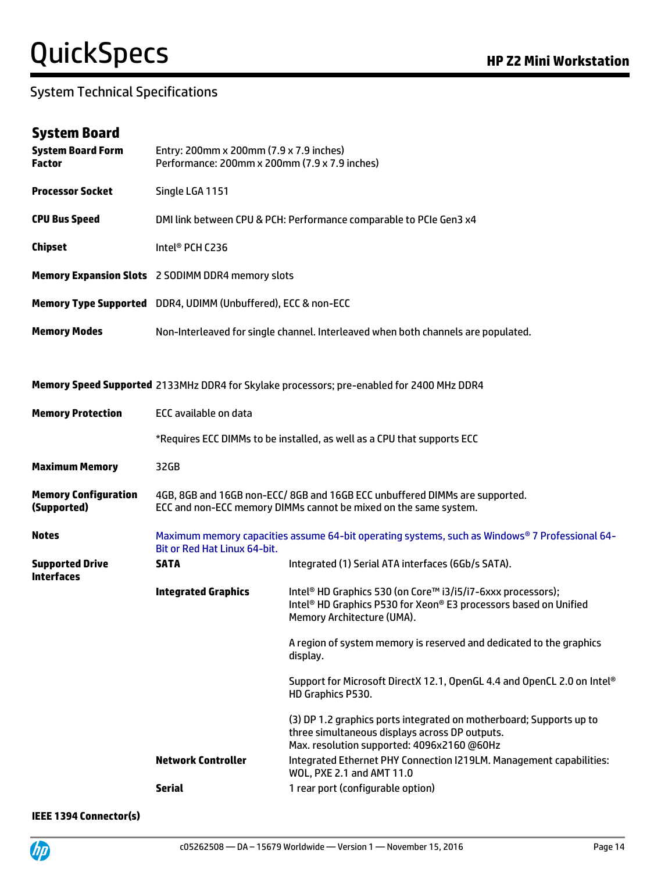#### System Technical Specifications

#### **System Board**

| <b>Processor Socket</b><br>Single LGA 1151<br><b>CPU Bus Speed</b><br>DMI link between CPU & PCH: Performance comparable to PCIe Gen3 x4<br><b>Chipset</b><br>Intel <sup>®</sup> PCH C236<br>Memory Expansion Slots 2 SODIMM DDR4 memory slots<br>Memory Type Supported DDR4, UDIMM (Unbuffered), ECC & non-ECC<br><b>Memory Modes</b><br>Non-Interleaved for single channel. Interleaved when both channels are populated.<br>Memory Speed Supported 2133MHz DDR4 for Skylake processors; pre-enabled for 2400 MHz DDR4<br><b>ECC available on data</b><br><b>Memory Protection</b><br>*Requires ECC DIMMs to be installed, as well as a CPU that supports ECC<br><b>Maximum Memory</b><br>32GB<br><b>Memory Configuration</b><br>4GB, 8GB and 16GB non-ECC/8GB and 16GB ECC unbuffered DIMMs are supported.<br>(Supported)<br>ECC and non-ECC memory DIMMs cannot be mixed on the same system.<br><b>Notes</b><br>Bit or Red Hat Linux 64-bit.<br><b>Supported Drive</b><br><b>SATA</b><br>Integrated (1) Serial ATA interfaces (6Gb/s SATA).<br><b>Interfaces</b><br><b>Integrated Graphics</b><br>Intel <sup>®</sup> HD Graphics 530 (on Core™ i3/i5/i7-6xxx processors);<br>Memory Architecture (UMA).<br>display.<br>HD Graphics P530.<br>three simultaneous displays across DP outputs.<br>Max. resolution supported: 4096x2160 @60Hz | <b>System Board Form</b><br><b>Factor</b> | Entry: 200mm x 200mm (7.9 x 7.9 inches)<br>Performance: 200mm x 200mm (7.9 x 7.9 inches)       |                                                                              |  |  |  |
|----------------------------------------------------------------------------------------------------------------------------------------------------------------------------------------------------------------------------------------------------------------------------------------------------------------------------------------------------------------------------------------------------------------------------------------------------------------------------------------------------------------------------------------------------------------------------------------------------------------------------------------------------------------------------------------------------------------------------------------------------------------------------------------------------------------------------------------------------------------------------------------------------------------------------------------------------------------------------------------------------------------------------------------------------------------------------------------------------------------------------------------------------------------------------------------------------------------------------------------------------------------------------------------------------------------------------------------------|-------------------------------------------|------------------------------------------------------------------------------------------------|------------------------------------------------------------------------------|--|--|--|
|                                                                                                                                                                                                                                                                                                                                                                                                                                                                                                                                                                                                                                                                                                                                                                                                                                                                                                                                                                                                                                                                                                                                                                                                                                                                                                                                              |                                           |                                                                                                |                                                                              |  |  |  |
|                                                                                                                                                                                                                                                                                                                                                                                                                                                                                                                                                                                                                                                                                                                                                                                                                                                                                                                                                                                                                                                                                                                                                                                                                                                                                                                                              |                                           |                                                                                                |                                                                              |  |  |  |
|                                                                                                                                                                                                                                                                                                                                                                                                                                                                                                                                                                                                                                                                                                                                                                                                                                                                                                                                                                                                                                                                                                                                                                                                                                                                                                                                              |                                           |                                                                                                |                                                                              |  |  |  |
|                                                                                                                                                                                                                                                                                                                                                                                                                                                                                                                                                                                                                                                                                                                                                                                                                                                                                                                                                                                                                                                                                                                                                                                                                                                                                                                                              |                                           |                                                                                                |                                                                              |  |  |  |
|                                                                                                                                                                                                                                                                                                                                                                                                                                                                                                                                                                                                                                                                                                                                                                                                                                                                                                                                                                                                                                                                                                                                                                                                                                                                                                                                              |                                           |                                                                                                |                                                                              |  |  |  |
|                                                                                                                                                                                                                                                                                                                                                                                                                                                                                                                                                                                                                                                                                                                                                                                                                                                                                                                                                                                                                                                                                                                                                                                                                                                                                                                                              |                                           |                                                                                                |                                                                              |  |  |  |
|                                                                                                                                                                                                                                                                                                                                                                                                                                                                                                                                                                                                                                                                                                                                                                                                                                                                                                                                                                                                                                                                                                                                                                                                                                                                                                                                              |                                           |                                                                                                |                                                                              |  |  |  |
|                                                                                                                                                                                                                                                                                                                                                                                                                                                                                                                                                                                                                                                                                                                                                                                                                                                                                                                                                                                                                                                                                                                                                                                                                                                                                                                                              |                                           |                                                                                                |                                                                              |  |  |  |
|                                                                                                                                                                                                                                                                                                                                                                                                                                                                                                                                                                                                                                                                                                                                                                                                                                                                                                                                                                                                                                                                                                                                                                                                                                                                                                                                              |                                           |                                                                                                |                                                                              |  |  |  |
|                                                                                                                                                                                                                                                                                                                                                                                                                                                                                                                                                                                                                                                                                                                                                                                                                                                                                                                                                                                                                                                                                                                                                                                                                                                                                                                                              |                                           |                                                                                                |                                                                              |  |  |  |
|                                                                                                                                                                                                                                                                                                                                                                                                                                                                                                                                                                                                                                                                                                                                                                                                                                                                                                                                                                                                                                                                                                                                                                                                                                                                                                                                              |                                           |                                                                                                |                                                                              |  |  |  |
|                                                                                                                                                                                                                                                                                                                                                                                                                                                                                                                                                                                                                                                                                                                                                                                                                                                                                                                                                                                                                                                                                                                                                                                                                                                                                                                                              |                                           |                                                                                                |                                                                              |  |  |  |
|                                                                                                                                                                                                                                                                                                                                                                                                                                                                                                                                                                                                                                                                                                                                                                                                                                                                                                                                                                                                                                                                                                                                                                                                                                                                                                                                              |                                           | Maximum memory capacities assume 64-bit operating systems, such as Windows® 7 Professional 64- |                                                                              |  |  |  |
|                                                                                                                                                                                                                                                                                                                                                                                                                                                                                                                                                                                                                                                                                                                                                                                                                                                                                                                                                                                                                                                                                                                                                                                                                                                                                                                                              |                                           |                                                                                                |                                                                              |  |  |  |
|                                                                                                                                                                                                                                                                                                                                                                                                                                                                                                                                                                                                                                                                                                                                                                                                                                                                                                                                                                                                                                                                                                                                                                                                                                                                                                                                              |                                           |                                                                                                | Intel <sup>®</sup> HD Graphics P530 for Xeon® E3 processors based on Unified |  |  |  |
|                                                                                                                                                                                                                                                                                                                                                                                                                                                                                                                                                                                                                                                                                                                                                                                                                                                                                                                                                                                                                                                                                                                                                                                                                                                                                                                                              |                                           |                                                                                                | A region of system memory is reserved and dedicated to the graphics          |  |  |  |
|                                                                                                                                                                                                                                                                                                                                                                                                                                                                                                                                                                                                                                                                                                                                                                                                                                                                                                                                                                                                                                                                                                                                                                                                                                                                                                                                              |                                           |                                                                                                | Support for Microsoft DirectX 12.1, OpenGL 4.4 and OpenCL 2.0 on Intel®      |  |  |  |
|                                                                                                                                                                                                                                                                                                                                                                                                                                                                                                                                                                                                                                                                                                                                                                                                                                                                                                                                                                                                                                                                                                                                                                                                                                                                                                                                              |                                           |                                                                                                | (3) DP 1.2 graphics ports integrated on motherboard; Supports up to          |  |  |  |
| <b>Network Controller</b><br>WOL, PXE 2.1 and AMT 11.0                                                                                                                                                                                                                                                                                                                                                                                                                                                                                                                                                                                                                                                                                                                                                                                                                                                                                                                                                                                                                                                                                                                                                                                                                                                                                       |                                           |                                                                                                | Integrated Ethernet PHY Connection I219LM. Management capabilities:          |  |  |  |
| <b>Serial</b><br>1 rear port (configurable option)                                                                                                                                                                                                                                                                                                                                                                                                                                                                                                                                                                                                                                                                                                                                                                                                                                                                                                                                                                                                                                                                                                                                                                                                                                                                                           |                                           |                                                                                                |                                                                              |  |  |  |

**IEEE 1394 Connector(s)**

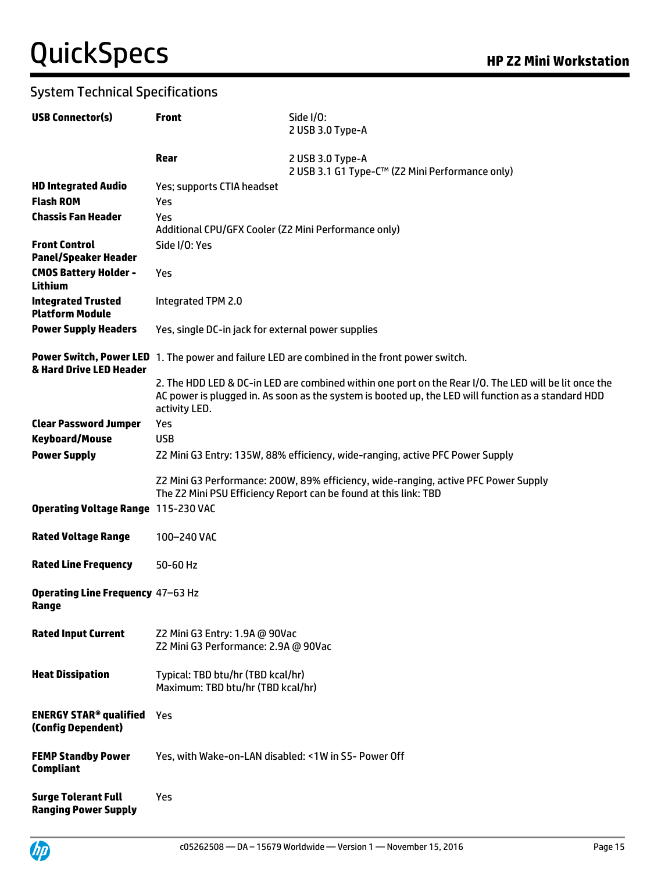| <b>USB Connector(s)</b>                                        | <b>Front</b>                                                                  | Side I/O:<br>2 USB 3.0 Type-A                                                                                                                                                                                |  |  |  |
|----------------------------------------------------------------|-------------------------------------------------------------------------------|--------------------------------------------------------------------------------------------------------------------------------------------------------------------------------------------------------------|--|--|--|
|                                                                | Rear                                                                          | 2 USB 3.0 Type-A<br>2 USB 3.1 G1 Type-C™ (Z2 Mini Performance only)                                                                                                                                          |  |  |  |
| <b>HD Integrated Audio</b>                                     | Yes; supports CTIA headset                                                    |                                                                                                                                                                                                              |  |  |  |
| <b>Flash ROM</b>                                               | Yes                                                                           |                                                                                                                                                                                                              |  |  |  |
| <b>Chassis Fan Header</b>                                      | Yes<br>Additional CPU/GFX Cooler (Z2 Mini Performance only)                   |                                                                                                                                                                                                              |  |  |  |
| <b>Front Control</b><br><b>Panel/Speaker Header</b>            | Side I/O: Yes                                                                 |                                                                                                                                                                                                              |  |  |  |
| <b>CMOS Battery Holder -</b><br><b>Lithium</b>                 | Yes                                                                           |                                                                                                                                                                                                              |  |  |  |
| <b>Integrated Trusted</b><br><b>Platform Module</b>            | Integrated TPM 2.0                                                            |                                                                                                                                                                                                              |  |  |  |
| <b>Power Supply Headers</b>                                    | Yes, single DC-in jack for external power supplies                            |                                                                                                                                                                                                              |  |  |  |
| & Hard Drive LED Header                                        |                                                                               | Power Switch, Power LED 1. The power and failure LED are combined in the front power switch.                                                                                                                 |  |  |  |
|                                                                | activity LED.                                                                 | 2. The HDD LED & DC-in LED are combined within one port on the Rear I/O. The LED will be lit once the<br>AC power is plugged in. As soon as the system is booted up, the LED will function as a standard HDD |  |  |  |
| <b>Clear Password Jumper</b>                                   | Yes                                                                           |                                                                                                                                                                                                              |  |  |  |
| <b>Keyboard/Mouse</b>                                          | <b>USB</b>                                                                    |                                                                                                                                                                                                              |  |  |  |
| <b>Power Supply</b>                                            | Z2 Mini G3 Entry: 135W, 88% efficiency, wide-ranging, active PFC Power Supply |                                                                                                                                                                                                              |  |  |  |
|                                                                |                                                                               | Z2 Mini G3 Performance: 200W, 89% efficiency, wide-ranging, active PFC Power Supply<br>The Z2 Mini PSU Efficiency Report can be found at this link: TBD                                                      |  |  |  |
| <b>Operating Voltage Range 115-230 VAC</b>                     |                                                                               |                                                                                                                                                                                                              |  |  |  |
| <b>Rated Voltage Range</b>                                     | 100-240 VAC                                                                   |                                                                                                                                                                                                              |  |  |  |
| <b>Rated Line Frequency</b>                                    | 50-60 Hz                                                                      |                                                                                                                                                                                                              |  |  |  |
| <b>Operating Line Frequency 47-63 Hz</b><br>Range              |                                                                               |                                                                                                                                                                                                              |  |  |  |
| <b>Rated Input Current</b>                                     | Z2 Mini G3 Entry: 1.9A @ 90Vac<br>Z2 Mini G3 Performance: 2.9A @ 90Vac        |                                                                                                                                                                                                              |  |  |  |
| <b>Heat Dissipation</b>                                        | Typical: TBD btu/hr (TBD kcal/hr)<br>Maximum: TBD btu/hr (TBD kcal/hr)        |                                                                                                                                                                                                              |  |  |  |
| <b>ENERGY STAR<sup>®</sup> qualified</b><br>(Config Dependent) | Yes                                                                           |                                                                                                                                                                                                              |  |  |  |
| <b>FEMP Standby Power</b><br><b>Compliant</b>                  | Yes, with Wake-on-LAN disabled: <1W in S5- Power Off                          |                                                                                                                                                                                                              |  |  |  |
| <b>Surge Tolerant Full</b><br><b>Ranging Power Supply</b>      | Yes                                                                           |                                                                                                                                                                                                              |  |  |  |

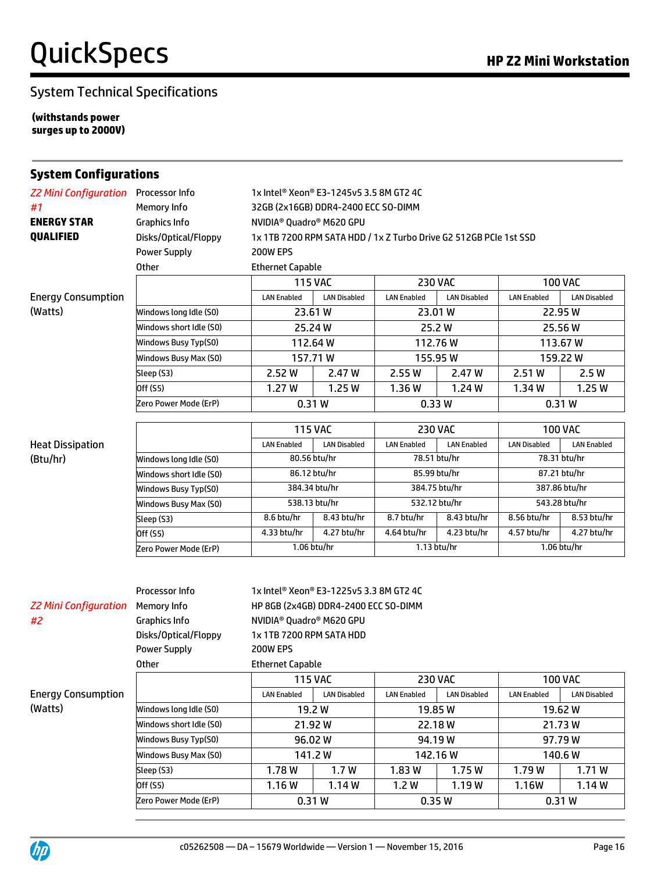**(withstands power surges up to 2000V)**

| <b>Z2 Mini Configuration</b> Processor Info<br>1x Intel® Xeon® E3-1245v5 3.5 8M GT2 4C<br>Memory Info<br>#1<br>32GB (2x16GB) DDR4-2400 ECC SO-DIMM<br><b>ENERGY STAR</b><br><b>Graphics Info</b><br>NVIDIA <sup>®</sup> Quadro <sup>®</sup> M620 GPU<br>QUALIFIED<br>Disks/Optical/Floppy<br>1x 1TB 7200 RPM SATA HDD / 1x Z Turbo Drive G2 512GB PCIe 1st SSD<br><b>Power Supply</b><br>200W EPS<br><b>Other</b><br><b>Ethernet Capable</b><br><b>115 VAC</b><br><b>100 VAC</b><br><b>230 VAC</b><br><b>Energy Consumption</b><br><b>LAN Disabled</b><br><b>LAN Disabled</b><br><b>LAN Disabled</b><br><b>LAN Enabled</b><br><b>LAN Enabled</b><br><b>LAN Enabled</b><br>(Watts)<br>Windows long Idle (S0)<br>23.61 W<br>23.01 W<br>22.95W<br>Windows short Idle (SO)<br>25.24 W<br>25.2W<br>25.56 W<br>112.76W<br>113.67 W<br>112.64 W<br>Windows Busy Typ(S0)<br>157.71W<br>Windows Busy Max (S0)<br>155.95 W<br>159.22W<br>2.51W<br>Sleep (S3)<br>2.52W<br>2.47 W<br>2.55 W<br>2.47 W<br>2.5W<br>Off (S5)<br>1.27W<br>1.25W<br>1.24 W<br>1.25W<br>1.36W<br>1.34W<br>0.31W<br>0.33W<br>0.31W<br>Zero Power Mode (ErP)<br><b>115 VAC</b><br><b>230 VAC</b><br><b>100 VAC</b><br><b>Heat Dissipation</b><br><b>LAN Enabled</b><br><b>LAN Disabled</b><br><b>LAN Enabled</b><br><b>LAN Enabled</b><br><b>LAN Disabled</b><br><b>LAN Enabled</b><br>80.56 btu/hr<br>78.51 btu/hr<br>78.31 btu/hr<br>(Btu/hr)<br>Windows long Idle (S0)<br>86.12 btu/hr<br>85.99 btu/hr<br>87.21 btu/hr<br>Windows short Idle (SO)<br>384.75 btu/hr<br>384.34 btu/hr<br>387.86 btu/hr<br>Windows Busy Typ(S0)<br>532.12 btu/hr<br>543.28 btu/hr<br>538.13 btu/hr<br>Windows Busy Max (S0)<br>8.6 btu/hr<br>8.43 btu/hr<br>8.7 btu/hr<br>8.56 btu/hr<br>8.53 btu/hr<br>8.43 btu/hr<br>Sleep (S3)<br>4.33 btu/hr<br>4.27 btu/hr<br>4.64 btu/hr<br>4.23 btu/hr<br>4.57 btu/hr<br>4.27 btu/hr<br>Off (S5)<br>1.06 btu/hr<br>1.13 btu/hr<br>1.06 btu/hr<br>Zero Power Mode (ErP)<br>Processor Info<br>1x Intel® Xeon® E3-1225v5 3.3 8M GT2 4C<br><b>Z2 Mini Configuration</b><br>Memory Info<br>HP 8GB (2x4GB) DDR4-2400 ECC SO-DIMM<br>#2<br><b>Graphics Info</b><br>NVIDIA <sup>®</sup> Quadro® M620 GPU<br>Disks/Optical/Floppy<br>1x 1TB 7200 RPM SATA HDD<br><b>Power Supply</b><br>200W EPS<br><b>Ethernet Capable</b><br>Other<br><b>115 VAC</b><br><b>100 VAC</b><br><b>230 VAC</b><br><b>Energy Consumption</b><br><b>LAN Enabled</b><br><b>LAN Disabled</b><br><b>LAN Disabled</b><br><b>LAN Enabled</b><br><b>LAN Enabled</b><br><b>LAN Disabled</b><br>(Watts)<br>Windows long Idle (S0)<br>19.2 W<br>19.85W<br>19.62W<br>21.92W<br>21.73 W<br>Windows short Idle (SO)<br>22.18 W<br>96.02W<br>94.19W<br>97.79W<br>Windows Busy Typ(S0)<br>Windows Busy Max (S0)<br>141.2W<br>142.16 W<br>140.6W<br>1.7W<br>Sleep (S3)<br>1.75W<br>1.79W | <b>System Configurations</b> |        |  |       |  |  |       |
|-------------------------------------------------------------------------------------------------------------------------------------------------------------------------------------------------------------------------------------------------------------------------------------------------------------------------------------------------------------------------------------------------------------------------------------------------------------------------------------------------------------------------------------------------------------------------------------------------------------------------------------------------------------------------------------------------------------------------------------------------------------------------------------------------------------------------------------------------------------------------------------------------------------------------------------------------------------------------------------------------------------------------------------------------------------------------------------------------------------------------------------------------------------------------------------------------------------------------------------------------------------------------------------------------------------------------------------------------------------------------------------------------------------------------------------------------------------------------------------------------------------------------------------------------------------------------------------------------------------------------------------------------------------------------------------------------------------------------------------------------------------------------------------------------------------------------------------------------------------------------------------------------------------------------------------------------------------------------------------------------------------------------------------------------------------------------------------------------------------------------------------------------------------------------------------------------------------------------------------------------------------------------------------------------------------------------------------------------------------------------------------------------------------------------------------------------------------------------------------------------------------------------------------------------------------------------------------------------------------------------------------------------------------------------------------------------------------------------------------------------------------------------------------------------------------------------------|------------------------------|--------|--|-------|--|--|-------|
|                                                                                                                                                                                                                                                                                                                                                                                                                                                                                                                                                                                                                                                                                                                                                                                                                                                                                                                                                                                                                                                                                                                                                                                                                                                                                                                                                                                                                                                                                                                                                                                                                                                                                                                                                                                                                                                                                                                                                                                                                                                                                                                                                                                                                                                                                                                                                                                                                                                                                                                                                                                                                                                                                                                                                                                                                               |                              |        |  |       |  |  |       |
|                                                                                                                                                                                                                                                                                                                                                                                                                                                                                                                                                                                                                                                                                                                                                                                                                                                                                                                                                                                                                                                                                                                                                                                                                                                                                                                                                                                                                                                                                                                                                                                                                                                                                                                                                                                                                                                                                                                                                                                                                                                                                                                                                                                                                                                                                                                                                                                                                                                                                                                                                                                                                                                                                                                                                                                                                               |                              |        |  |       |  |  |       |
|                                                                                                                                                                                                                                                                                                                                                                                                                                                                                                                                                                                                                                                                                                                                                                                                                                                                                                                                                                                                                                                                                                                                                                                                                                                                                                                                                                                                                                                                                                                                                                                                                                                                                                                                                                                                                                                                                                                                                                                                                                                                                                                                                                                                                                                                                                                                                                                                                                                                                                                                                                                                                                                                                                                                                                                                                               |                              |        |  |       |  |  |       |
|                                                                                                                                                                                                                                                                                                                                                                                                                                                                                                                                                                                                                                                                                                                                                                                                                                                                                                                                                                                                                                                                                                                                                                                                                                                                                                                                                                                                                                                                                                                                                                                                                                                                                                                                                                                                                                                                                                                                                                                                                                                                                                                                                                                                                                                                                                                                                                                                                                                                                                                                                                                                                                                                                                                                                                                                                               |                              |        |  |       |  |  |       |
|                                                                                                                                                                                                                                                                                                                                                                                                                                                                                                                                                                                                                                                                                                                                                                                                                                                                                                                                                                                                                                                                                                                                                                                                                                                                                                                                                                                                                                                                                                                                                                                                                                                                                                                                                                                                                                                                                                                                                                                                                                                                                                                                                                                                                                                                                                                                                                                                                                                                                                                                                                                                                                                                                                                                                                                                                               |                              |        |  |       |  |  |       |
|                                                                                                                                                                                                                                                                                                                                                                                                                                                                                                                                                                                                                                                                                                                                                                                                                                                                                                                                                                                                                                                                                                                                                                                                                                                                                                                                                                                                                                                                                                                                                                                                                                                                                                                                                                                                                                                                                                                                                                                                                                                                                                                                                                                                                                                                                                                                                                                                                                                                                                                                                                                                                                                                                                                                                                                                                               |                              |        |  |       |  |  |       |
|                                                                                                                                                                                                                                                                                                                                                                                                                                                                                                                                                                                                                                                                                                                                                                                                                                                                                                                                                                                                                                                                                                                                                                                                                                                                                                                                                                                                                                                                                                                                                                                                                                                                                                                                                                                                                                                                                                                                                                                                                                                                                                                                                                                                                                                                                                                                                                                                                                                                                                                                                                                                                                                                                                                                                                                                                               |                              |        |  |       |  |  |       |
|                                                                                                                                                                                                                                                                                                                                                                                                                                                                                                                                                                                                                                                                                                                                                                                                                                                                                                                                                                                                                                                                                                                                                                                                                                                                                                                                                                                                                                                                                                                                                                                                                                                                                                                                                                                                                                                                                                                                                                                                                                                                                                                                                                                                                                                                                                                                                                                                                                                                                                                                                                                                                                                                                                                                                                                                                               |                              |        |  |       |  |  |       |
|                                                                                                                                                                                                                                                                                                                                                                                                                                                                                                                                                                                                                                                                                                                                                                                                                                                                                                                                                                                                                                                                                                                                                                                                                                                                                                                                                                                                                                                                                                                                                                                                                                                                                                                                                                                                                                                                                                                                                                                                                                                                                                                                                                                                                                                                                                                                                                                                                                                                                                                                                                                                                                                                                                                                                                                                                               |                              |        |  |       |  |  |       |
|                                                                                                                                                                                                                                                                                                                                                                                                                                                                                                                                                                                                                                                                                                                                                                                                                                                                                                                                                                                                                                                                                                                                                                                                                                                                                                                                                                                                                                                                                                                                                                                                                                                                                                                                                                                                                                                                                                                                                                                                                                                                                                                                                                                                                                                                                                                                                                                                                                                                                                                                                                                                                                                                                                                                                                                                                               |                              |        |  |       |  |  |       |
|                                                                                                                                                                                                                                                                                                                                                                                                                                                                                                                                                                                                                                                                                                                                                                                                                                                                                                                                                                                                                                                                                                                                                                                                                                                                                                                                                                                                                                                                                                                                                                                                                                                                                                                                                                                                                                                                                                                                                                                                                                                                                                                                                                                                                                                                                                                                                                                                                                                                                                                                                                                                                                                                                                                                                                                                                               |                              |        |  |       |  |  |       |
|                                                                                                                                                                                                                                                                                                                                                                                                                                                                                                                                                                                                                                                                                                                                                                                                                                                                                                                                                                                                                                                                                                                                                                                                                                                                                                                                                                                                                                                                                                                                                                                                                                                                                                                                                                                                                                                                                                                                                                                                                                                                                                                                                                                                                                                                                                                                                                                                                                                                                                                                                                                                                                                                                                                                                                                                                               |                              |        |  |       |  |  |       |
|                                                                                                                                                                                                                                                                                                                                                                                                                                                                                                                                                                                                                                                                                                                                                                                                                                                                                                                                                                                                                                                                                                                                                                                                                                                                                                                                                                                                                                                                                                                                                                                                                                                                                                                                                                                                                                                                                                                                                                                                                                                                                                                                                                                                                                                                                                                                                                                                                                                                                                                                                                                                                                                                                                                                                                                                                               |                              |        |  |       |  |  |       |
|                                                                                                                                                                                                                                                                                                                                                                                                                                                                                                                                                                                                                                                                                                                                                                                                                                                                                                                                                                                                                                                                                                                                                                                                                                                                                                                                                                                                                                                                                                                                                                                                                                                                                                                                                                                                                                                                                                                                                                                                                                                                                                                                                                                                                                                                                                                                                                                                                                                                                                                                                                                                                                                                                                                                                                                                                               |                              |        |  |       |  |  |       |
|                                                                                                                                                                                                                                                                                                                                                                                                                                                                                                                                                                                                                                                                                                                                                                                                                                                                                                                                                                                                                                                                                                                                                                                                                                                                                                                                                                                                                                                                                                                                                                                                                                                                                                                                                                                                                                                                                                                                                                                                                                                                                                                                                                                                                                                                                                                                                                                                                                                                                                                                                                                                                                                                                                                                                                                                                               |                              |        |  |       |  |  |       |
|                                                                                                                                                                                                                                                                                                                                                                                                                                                                                                                                                                                                                                                                                                                                                                                                                                                                                                                                                                                                                                                                                                                                                                                                                                                                                                                                                                                                                                                                                                                                                                                                                                                                                                                                                                                                                                                                                                                                                                                                                                                                                                                                                                                                                                                                                                                                                                                                                                                                                                                                                                                                                                                                                                                                                                                                                               |                              |        |  |       |  |  |       |
|                                                                                                                                                                                                                                                                                                                                                                                                                                                                                                                                                                                                                                                                                                                                                                                                                                                                                                                                                                                                                                                                                                                                                                                                                                                                                                                                                                                                                                                                                                                                                                                                                                                                                                                                                                                                                                                                                                                                                                                                                                                                                                                                                                                                                                                                                                                                                                                                                                                                                                                                                                                                                                                                                                                                                                                                                               |                              |        |  |       |  |  |       |
|                                                                                                                                                                                                                                                                                                                                                                                                                                                                                                                                                                                                                                                                                                                                                                                                                                                                                                                                                                                                                                                                                                                                                                                                                                                                                                                                                                                                                                                                                                                                                                                                                                                                                                                                                                                                                                                                                                                                                                                                                                                                                                                                                                                                                                                                                                                                                                                                                                                                                                                                                                                                                                                                                                                                                                                                                               |                              |        |  |       |  |  |       |
|                                                                                                                                                                                                                                                                                                                                                                                                                                                                                                                                                                                                                                                                                                                                                                                                                                                                                                                                                                                                                                                                                                                                                                                                                                                                                                                                                                                                                                                                                                                                                                                                                                                                                                                                                                                                                                                                                                                                                                                                                                                                                                                                                                                                                                                                                                                                                                                                                                                                                                                                                                                                                                                                                                                                                                                                                               |                              |        |  |       |  |  |       |
|                                                                                                                                                                                                                                                                                                                                                                                                                                                                                                                                                                                                                                                                                                                                                                                                                                                                                                                                                                                                                                                                                                                                                                                                                                                                                                                                                                                                                                                                                                                                                                                                                                                                                                                                                                                                                                                                                                                                                                                                                                                                                                                                                                                                                                                                                                                                                                                                                                                                                                                                                                                                                                                                                                                                                                                                                               |                              |        |  |       |  |  |       |
|                                                                                                                                                                                                                                                                                                                                                                                                                                                                                                                                                                                                                                                                                                                                                                                                                                                                                                                                                                                                                                                                                                                                                                                                                                                                                                                                                                                                                                                                                                                                                                                                                                                                                                                                                                                                                                                                                                                                                                                                                                                                                                                                                                                                                                                                                                                                                                                                                                                                                                                                                                                                                                                                                                                                                                                                                               |                              |        |  |       |  |  |       |
|                                                                                                                                                                                                                                                                                                                                                                                                                                                                                                                                                                                                                                                                                                                                                                                                                                                                                                                                                                                                                                                                                                                                                                                                                                                                                                                                                                                                                                                                                                                                                                                                                                                                                                                                                                                                                                                                                                                                                                                                                                                                                                                                                                                                                                                                                                                                                                                                                                                                                                                                                                                                                                                                                                                                                                                                                               |                              |        |  |       |  |  |       |
|                                                                                                                                                                                                                                                                                                                                                                                                                                                                                                                                                                                                                                                                                                                                                                                                                                                                                                                                                                                                                                                                                                                                                                                                                                                                                                                                                                                                                                                                                                                                                                                                                                                                                                                                                                                                                                                                                                                                                                                                                                                                                                                                                                                                                                                                                                                                                                                                                                                                                                                                                                                                                                                                                                                                                                                                                               |                              |        |  |       |  |  |       |
|                                                                                                                                                                                                                                                                                                                                                                                                                                                                                                                                                                                                                                                                                                                                                                                                                                                                                                                                                                                                                                                                                                                                                                                                                                                                                                                                                                                                                                                                                                                                                                                                                                                                                                                                                                                                                                                                                                                                                                                                                                                                                                                                                                                                                                                                                                                                                                                                                                                                                                                                                                                                                                                                                                                                                                                                                               |                              |        |  |       |  |  |       |
|                                                                                                                                                                                                                                                                                                                                                                                                                                                                                                                                                                                                                                                                                                                                                                                                                                                                                                                                                                                                                                                                                                                                                                                                                                                                                                                                                                                                                                                                                                                                                                                                                                                                                                                                                                                                                                                                                                                                                                                                                                                                                                                                                                                                                                                                                                                                                                                                                                                                                                                                                                                                                                                                                                                                                                                                                               |                              |        |  |       |  |  |       |
|                                                                                                                                                                                                                                                                                                                                                                                                                                                                                                                                                                                                                                                                                                                                                                                                                                                                                                                                                                                                                                                                                                                                                                                                                                                                                                                                                                                                                                                                                                                                                                                                                                                                                                                                                                                                                                                                                                                                                                                                                                                                                                                                                                                                                                                                                                                                                                                                                                                                                                                                                                                                                                                                                                                                                                                                                               |                              |        |  |       |  |  |       |
|                                                                                                                                                                                                                                                                                                                                                                                                                                                                                                                                                                                                                                                                                                                                                                                                                                                                                                                                                                                                                                                                                                                                                                                                                                                                                                                                                                                                                                                                                                                                                                                                                                                                                                                                                                                                                                                                                                                                                                                                                                                                                                                                                                                                                                                                                                                                                                                                                                                                                                                                                                                                                                                                                                                                                                                                                               |                              |        |  |       |  |  |       |
|                                                                                                                                                                                                                                                                                                                                                                                                                                                                                                                                                                                                                                                                                                                                                                                                                                                                                                                                                                                                                                                                                                                                                                                                                                                                                                                                                                                                                                                                                                                                                                                                                                                                                                                                                                                                                                                                                                                                                                                                                                                                                                                                                                                                                                                                                                                                                                                                                                                                                                                                                                                                                                                                                                                                                                                                                               |                              |        |  |       |  |  |       |
|                                                                                                                                                                                                                                                                                                                                                                                                                                                                                                                                                                                                                                                                                                                                                                                                                                                                                                                                                                                                                                                                                                                                                                                                                                                                                                                                                                                                                                                                                                                                                                                                                                                                                                                                                                                                                                                                                                                                                                                                                                                                                                                                                                                                                                                                                                                                                                                                                                                                                                                                                                                                                                                                                                                                                                                                                               |                              |        |  |       |  |  |       |
|                                                                                                                                                                                                                                                                                                                                                                                                                                                                                                                                                                                                                                                                                                                                                                                                                                                                                                                                                                                                                                                                                                                                                                                                                                                                                                                                                                                                                                                                                                                                                                                                                                                                                                                                                                                                                                                                                                                                                                                                                                                                                                                                                                                                                                                                                                                                                                                                                                                                                                                                                                                                                                                                                                                                                                                                                               |                              |        |  |       |  |  |       |
|                                                                                                                                                                                                                                                                                                                                                                                                                                                                                                                                                                                                                                                                                                                                                                                                                                                                                                                                                                                                                                                                                                                                                                                                                                                                                                                                                                                                                                                                                                                                                                                                                                                                                                                                                                                                                                                                                                                                                                                                                                                                                                                                                                                                                                                                                                                                                                                                                                                                                                                                                                                                                                                                                                                                                                                                                               |                              |        |  |       |  |  |       |
|                                                                                                                                                                                                                                                                                                                                                                                                                                                                                                                                                                                                                                                                                                                                                                                                                                                                                                                                                                                                                                                                                                                                                                                                                                                                                                                                                                                                                                                                                                                                                                                                                                                                                                                                                                                                                                                                                                                                                                                                                                                                                                                                                                                                                                                                                                                                                                                                                                                                                                                                                                                                                                                                                                                                                                                                                               |                              |        |  |       |  |  |       |
|                                                                                                                                                                                                                                                                                                                                                                                                                                                                                                                                                                                                                                                                                                                                                                                                                                                                                                                                                                                                                                                                                                                                                                                                                                                                                                                                                                                                                                                                                                                                                                                                                                                                                                                                                                                                                                                                                                                                                                                                                                                                                                                                                                                                                                                                                                                                                                                                                                                                                                                                                                                                                                                                                                                                                                                                                               |                              |        |  |       |  |  |       |
|                                                                                                                                                                                                                                                                                                                                                                                                                                                                                                                                                                                                                                                                                                                                                                                                                                                                                                                                                                                                                                                                                                                                                                                                                                                                                                                                                                                                                                                                                                                                                                                                                                                                                                                                                                                                                                                                                                                                                                                                                                                                                                                                                                                                                                                                                                                                                                                                                                                                                                                                                                                                                                                                                                                                                                                                                               |                              |        |  |       |  |  |       |
|                                                                                                                                                                                                                                                                                                                                                                                                                                                                                                                                                                                                                                                                                                                                                                                                                                                                                                                                                                                                                                                                                                                                                                                                                                                                                                                                                                                                                                                                                                                                                                                                                                                                                                                                                                                                                                                                                                                                                                                                                                                                                                                                                                                                                                                                                                                                                                                                                                                                                                                                                                                                                                                                                                                                                                                                                               |                              |        |  |       |  |  |       |
|                                                                                                                                                                                                                                                                                                                                                                                                                                                                                                                                                                                                                                                                                                                                                                                                                                                                                                                                                                                                                                                                                                                                                                                                                                                                                                                                                                                                                                                                                                                                                                                                                                                                                                                                                                                                                                                                                                                                                                                                                                                                                                                                                                                                                                                                                                                                                                                                                                                                                                                                                                                                                                                                                                                                                                                                                               |                              |        |  |       |  |  |       |
|                                                                                                                                                                                                                                                                                                                                                                                                                                                                                                                                                                                                                                                                                                                                                                                                                                                                                                                                                                                                                                                                                                                                                                                                                                                                                                                                                                                                                                                                                                                                                                                                                                                                                                                                                                                                                                                                                                                                                                                                                                                                                                                                                                                                                                                                                                                                                                                                                                                                                                                                                                                                                                                                                                                                                                                                                               |                              |        |  |       |  |  |       |
|                                                                                                                                                                                                                                                                                                                                                                                                                                                                                                                                                                                                                                                                                                                                                                                                                                                                                                                                                                                                                                                                                                                                                                                                                                                                                                                                                                                                                                                                                                                                                                                                                                                                                                                                                                                                                                                                                                                                                                                                                                                                                                                                                                                                                                                                                                                                                                                                                                                                                                                                                                                                                                                                                                                                                                                                                               |                              |        |  |       |  |  |       |
|                                                                                                                                                                                                                                                                                                                                                                                                                                                                                                                                                                                                                                                                                                                                                                                                                                                                                                                                                                                                                                                                                                                                                                                                                                                                                                                                                                                                                                                                                                                                                                                                                                                                                                                                                                                                                                                                                                                                                                                                                                                                                                                                                                                                                                                                                                                                                                                                                                                                                                                                                                                                                                                                                                                                                                                                                               |                              | 1.78 W |  | 1.83W |  |  | 1.71W |
| Off (S5)<br>1.16W<br>1.14W<br>1.2W<br>1.19W<br>1.16W<br>1.14W                                                                                                                                                                                                                                                                                                                                                                                                                                                                                                                                                                                                                                                                                                                                                                                                                                                                                                                                                                                                                                                                                                                                                                                                                                                                                                                                                                                                                                                                                                                                                                                                                                                                                                                                                                                                                                                                                                                                                                                                                                                                                                                                                                                                                                                                                                                                                                                                                                                                                                                                                                                                                                                                                                                                                                 |                              |        |  |       |  |  |       |
| Zero Power Mode (ErP)<br>0.35W<br>0.31W<br>0.31W                                                                                                                                                                                                                                                                                                                                                                                                                                                                                                                                                                                                                                                                                                                                                                                                                                                                                                                                                                                                                                                                                                                                                                                                                                                                                                                                                                                                                                                                                                                                                                                                                                                                                                                                                                                                                                                                                                                                                                                                                                                                                                                                                                                                                                                                                                                                                                                                                                                                                                                                                                                                                                                                                                                                                                              |                              |        |  |       |  |  |       |

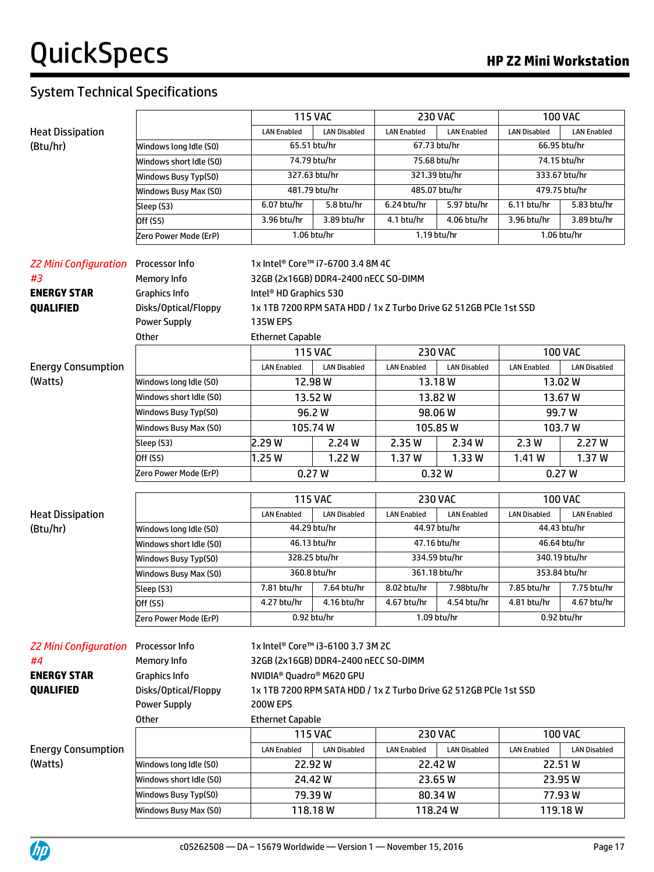|                              |                         | <b>115 VAC</b>                                                    |                     | <b>230 VAC</b>     |                     |                     | <b>100 VAC</b>      |
|------------------------------|-------------------------|-------------------------------------------------------------------|---------------------|--------------------|---------------------|---------------------|---------------------|
| <b>Heat Dissipation</b>      |                         | <b>LAN Enabled</b>                                                | <b>LAN Disabled</b> | <b>LAN Enabled</b> | <b>LAN Enabled</b>  | <b>LAN Disabled</b> | <b>LAN Enabled</b>  |
| (Btu/hr)                     | Windows long Idle (S0)  | 65.51 btu/hr                                                      |                     | 67.73 btu/hr       |                     | 66.95 btu/hr        |                     |
|                              | Windows short Idle (S0) | 74.79 btu/hr                                                      |                     | 75.68 btu/hr       |                     | 74.15 btu/hr        |                     |
|                              | Windows Busy Typ(S0)    | 327.63 btu/hr                                                     |                     | 321.39 btu/hr      |                     |                     | 333.67 btu/hr       |
|                              | Windows Busy Max (S0)   | 481.79 btu/hr                                                     |                     | 485.07 btu/hr      |                     |                     | 479.75 btu/hr       |
|                              | Sleep (S3)              | 6.07 btu/hr                                                       | 5.8 btu/hr          | 6.24 btu/hr        | 5.97 btu/hr         | 6.11 btu/hr         | 5.83 btu/hr         |
|                              | Off (S5)                | 3.96 btu/hr                                                       | 3.89 btu/hr         | 4.1 btu/hr         | 4.06 btu/hr         | 3.96 btu/hr         | 3.89 btu/hr         |
|                              | Zero Power Mode (ErP)   | 1.06 btu/hr                                                       |                     | 1.19 btu/hr        |                     |                     | 1.06 btu/hr         |
|                              |                         |                                                                   |                     |                    |                     |                     |                     |
| <b>Z2 Mini Configuration</b> | Processor Info          | 1x Intel® Core™ i7-6700 3.4 8M 4C                                 |                     |                    |                     |                     |                     |
| #3                           | Memory Info             | 32GB (2x16GB) DDR4-2400 nECC SO-DIMM                              |                     |                    |                     |                     |                     |
| <b>ENERGY STAR</b>           | <b>Graphics Info</b>    | Intel <sup>®</sup> HD Graphics 530                                |                     |                    |                     |                     |                     |
| <b>QUALIFIED</b>             | Disks/Optical/Floppy    | 1x 1TB 7200 RPM SATA HDD / 1x Z Turbo Drive G2 512GB PCIe 1st SSD |                     |                    |                     |                     |                     |
|                              | <b>Power Supply</b>     | <b>135W EPS</b>                                                   |                     |                    |                     |                     |                     |
|                              | Other                   | <b>Ethernet Capable</b>                                           |                     |                    |                     |                     |                     |
|                              |                         | <b>115 VAC</b>                                                    |                     | <b>230 VAC</b>     |                     |                     | <b>100 VAC</b>      |
| <b>Energy Consumption</b>    |                         | <b>LAN Enabled</b>                                                | <b>LAN Disabled</b> | <b>LAN Enabled</b> | <b>LAN Disabled</b> | <b>LAN Enabled</b>  | <b>LAN Disabled</b> |
| (Watts)                      | Windows long Idle (S0)  | 12.98W                                                            |                     | 13.18W             |                     |                     | 13.02 W             |
|                              | Windows short Idle (SO) | 13.52W                                                            |                     | 13.82W             |                     |                     | 13.67W              |
|                              | Windows Busy Typ(S0)    | 96.2 W                                                            |                     | 98.06W             | 99.7 W              |                     |                     |
|                              | Windows Busy Max (S0)   | 105.74 W                                                          |                     | 105.85 W           |                     | 103.7 W             |                     |
|                              | Sleep (S3)              | 2.29W                                                             | 2.24 W              | 2.35 W             | 2.34 W              | 2.3W                | 2.27 W              |
|                              | Off (S5)                | 1.25W                                                             | 1.22 W              | 1.37W              | 1.33W               | 1.41 W              | 1.37W               |
|                              | Zero Power Mode (ErP)   | 0.27W                                                             |                     | 0.32W              |                     |                     | 0.27W               |
|                              |                         |                                                                   |                     |                    |                     |                     |                     |
|                              |                         | <b>115 VAC</b>                                                    |                     | <b>230 VAC</b>     |                     |                     | <b>100 VAC</b>      |
| <b>Heat Dissipation</b>      |                         | <b>LAN Enabled</b>                                                | <b>LAN Disabled</b> | <b>LAN Enabled</b> | <b>LAN Enabled</b>  | <b>LAN Disabled</b> | <b>LAN Enabled</b>  |
| (Btu/hr)                     | Windows long Idle (S0)  | 44.29 btu/hr                                                      |                     | 44.97 btu/hr       |                     |                     | 44.43 btu/hr        |
|                              | Windows short Idle (SO) | 46.13 btu/hr                                                      |                     | 47.16 btu/hr       |                     |                     | 46.64 btu/hr        |
|                              | Windows Busy Typ(S0)    | 328.25 btu/hr                                                     |                     | 334.59 btu/hr      |                     |                     | 340.19 btu/hr       |
|                              | Windows Busy Max (S0)   | 360.8 btu/hr                                                      |                     | 361.18 btu/hr      |                     | 353.84 btu/hr       |                     |
|                              | Sleep (S3)              | 7.81 btu/hr                                                       | 7.64 btu/hr         | 8.02 btu/hr        | 7.98btu/hr          | 7.85 btu/hr         | 7.75 btu/hr         |
|                              | Off (S5)                | 4.27 btu/hr                                                       | 4.16 btu/hr         | 4.67 btu/hr        | 4.54 btu/hr         | 4.81 btu/hr         | 4.67 btu/hr         |
|                              | Zero Power Mode (ErP)   | 0.92 btu/hr                                                       |                     | 1.09 btu/hr        |                     |                     | 0.92 btu/hr         |
|                              |                         |                                                                   |                     |                    |                     |                     |                     |
| <b>Z2 Mini Configuration</b> | Processor Info          | 1x Intel® Core™ i3-6100 3.7 3M 2C                                 |                     |                    |                     |                     |                     |
| #4                           | Memory Info             | 32GB (2x16GB) DDR4-2400 nECC SO-DIMM                              |                     |                    |                     |                     |                     |
| <b>ENERGY STAR</b>           | <b>Graphics Info</b>    | NVIDIA <sup>®</sup> Quadro® M620 GPU                              |                     |                    |                     |                     |                     |
| QUALIFIED                    | Disks/Optical/Floppy    | 1x 1TB 7200 RPM SATA HDD / 1x Z Turbo Drive G2 512GB PCIe 1st SSD |                     |                    |                     |                     |                     |
|                              | <b>Power Supply</b>     | <b>200W EPS</b>                                                   |                     |                    |                     |                     |                     |
|                              | <b>Other</b>            | <b>Ethernet Capable</b>                                           |                     |                    |                     |                     |                     |
|                              |                         | <b>115 VAC</b>                                                    |                     | <b>230 VAC</b>     |                     |                     | <b>100 VAC</b>      |
| <b>Energy Consumption</b>    |                         | <b>LAN Enabled</b>                                                | <b>LAN Disabled</b> | <b>LAN Enabled</b> | <b>LAN Disabled</b> | <b>LAN Enabled</b>  | <b>LAN Disabled</b> |
| (Watts)                      | Windows long Idle (S0)  | 22.92W                                                            |                     | 22.42W             |                     |                     | 22.51W              |
|                              | Windows short Idle (S0) |                                                                   | 24.42W              | 23.65W             |                     |                     | 23.95W              |
|                              |                         | 79.39 W                                                           |                     | 80.34W             |                     | 77.93 W             |                     |
|                              | Windows Busy Typ(S0)    |                                                                   | 118.18 W            |                    | 118.24 W            |                     | 119.18W             |

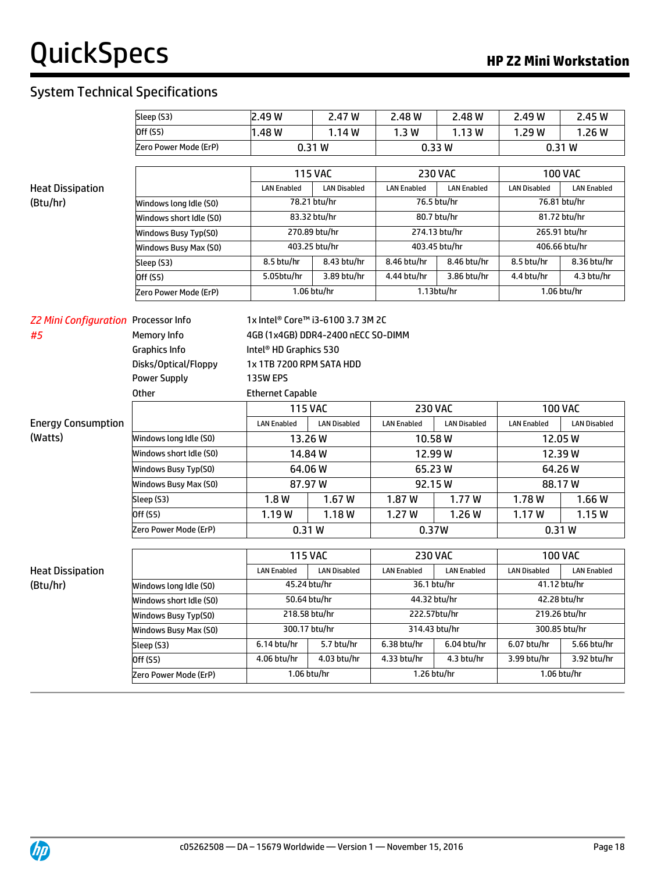|                                             | Sleep (S3)              | 2.49 W                             | 2.47 W              | 2.48 W             | 2.48 W              | 2.49 W              | 2.45 W              |
|---------------------------------------------|-------------------------|------------------------------------|---------------------|--------------------|---------------------|---------------------|---------------------|
|                                             | Off (S5)                | 1.48W                              | 1.14W               | 1.3W               | 1.13W               | 1.29 W              | 1.26W               |
|                                             | Zero Power Mode (ErP)   | 0.33W<br>0.31W<br>0.31W            |                     |                    |                     |                     |                     |
|                                             |                         |                                    | <b>115 VAC</b>      |                    | <b>230 VAC</b>      |                     | <b>100 VAC</b>      |
| <b>Heat Dissipation</b>                     |                         | <b>LAN Enabled</b>                 | <b>LAN Disabled</b> | <b>LAN Enabled</b> | <b>LAN Enabled</b>  | <b>LAN Disabled</b> | <b>LAN Enabled</b>  |
| (Btu/hr)                                    | Windows long Idle (S0)  |                                    | 78.21 btu/hr        |                    | 76.5 btu/hr         |                     | 76.81 btu/hr        |
|                                             | Windows short Idle (S0) |                                    | 83.32 btu/hr        |                    | 80.7 btu/hr         |                     | 81.72 btu/hr        |
|                                             | Windows Busy Typ(S0)    |                                    | 270.89 btu/hr       |                    | 274.13 btu/hr       |                     | 265.91 btu/hr       |
|                                             | Windows Busy Max (S0)   |                                    | 403.25 btu/hr       |                    | 403.45 btu/hr       |                     | 406.66 btu/hr       |
|                                             | Sleep (S3)              | 8.5 btu/hr                         | 8.43 btu/hr         | 8.46 btu/hr        | 8.46 btu/hr         | 8.5 btu/hr          | 8.36 btu/hr         |
|                                             | Off (S5)                | 5.05btu/hr                         | 3.89 btu/hr         | 4.44 btu/hr        | 3.86 btu/hr         | 4.4 btu/hr          | 4.3 btu/hr          |
|                                             | Zero Power Mode (ErP)   |                                    | 1.06 btu/hr         |                    | 1.13btu/hr          |                     | 1.06 btu/hr         |
| <b>Z2 Mini Configuration Processor Info</b> |                         | 1x Intel® Core™ i3-6100 3.7 3M 2C  |                     |                    |                     |                     |                     |
| #5                                          | Memory Info             | 4GB (1x4GB) DDR4-2400 nECC SO-DIMM |                     |                    |                     |                     |                     |
|                                             | Graphics Info           | Intel <sup>®</sup> HD Graphics 530 |                     |                    |                     |                     |                     |
|                                             | Disks/Optical/Floppy    | 1x 1TB 7200 RPM SATA HDD           |                     |                    |                     |                     |                     |
|                                             | <b>Power Supply</b>     | <b>135W EPS</b>                    |                     |                    |                     |                     |                     |
|                                             | Other                   | <b>Ethernet Capable</b>            |                     |                    |                     |                     |                     |
|                                             |                         | <b>115 VAC</b>                     |                     | <b>230 VAC</b>     |                     |                     | <b>100 VAC</b>      |
| <b>Energy Consumption</b>                   |                         | <b>LAN Enabled</b>                 | <b>LAN Disabled</b> | <b>LAN Enabled</b> | <b>LAN Disabled</b> | <b>LAN Enabled</b>  | <b>LAN Disabled</b> |
| (Watts)                                     | Windows long Idle (S0)  | 13.26W                             |                     | 10.58W             |                     | 12.05W              |                     |
|                                             | Windows short Idle (S0) | 14.84 W                            |                     | 12.99W             |                     |                     | 12.39W              |
|                                             | Windows Busy Typ(S0)    | 64.06W                             |                     | 65.23W             |                     | 64.26W              |                     |
|                                             | Windows Busy Max (S0)   | 87.97W                             |                     | 92.15 W            |                     | 88.17W              |                     |
|                                             | Sleep (S3)              | 1.8W                               | 1.67W               | 1.87 W             | 1.77W               | 1.78 W              | 1.66W               |
|                                             | Off (S5)                | 1.19W                              | 1.18W               | 1.27 W             | 1.26W               | 1.17W               | 1.15W               |
|                                             | Zero Power Mode (ErP)   | 0.31W                              |                     | 0.37W              |                     | 0.31W               |                     |
|                                             |                         | <b>115 VAC</b>                     |                     | <b>230 VAC</b>     |                     |                     | <b>100 VAC</b>      |
| <b>Heat Dissipation</b>                     |                         | <b>LAN Enabled</b>                 | <b>LAN Disabled</b> | <b>LAN Enabled</b> | <b>LAN Enabled</b>  | <b>LAN Disabled</b> | <b>LAN Enabled</b>  |
| (Btu/hr)                                    | Windows long Idle (S0)  | 45.24 btu/hr                       |                     | 36.1 btu/hr        |                     | 41.12 btu/hr        |                     |
|                                             | Windows short Idle (SO) | 50.64 btu/hr                       |                     | 44.32 btu/hr       |                     |                     | 42.28 btu/hr        |
|                                             | Windows Busy Typ(S0)    | 218.58 btu/hr                      |                     | 222.57btu/hr       |                     |                     | 219.26 btu/hr       |
|                                             | Windows Busy Max (S0)   | 300.17 btu/hr                      |                     | 314.43 btu/hr      |                     |                     | 300.85 btu/hr       |
|                                             | Sleep (S3)              | 6.14 btu/hr                        | 5.7 btu/hr          | 6.38 btu/hr        | 6.04 btu/hr         | 6.07 btu/hr         | 5.66 btu/hr         |
|                                             | Off (S5)                | 4.06 btu/hr                        | 4.03 btu/hr         | 4.33 btu/hr        | $4.3$ btu/hr        | 3.99 btu/hr         | 3.92 btu/hr         |
|                                             | Zero Power Mode (ErP)   | 1.06 btu/hr                        |                     | 1.26 btu/hr        |                     |                     | 1.06 btu/hr         |

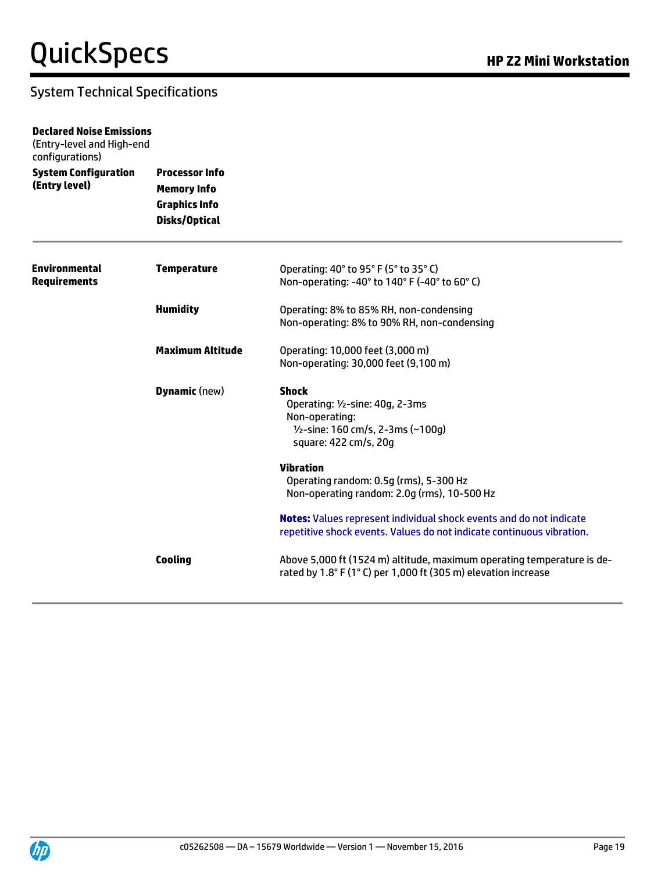| <b>Declared Noise Emissions</b><br>(Entry-level and High-end<br>configurations) |                                                                                      |                                                                                                                                                     |
|---------------------------------------------------------------------------------|--------------------------------------------------------------------------------------|-----------------------------------------------------------------------------------------------------------------------------------------------------|
| <b>System Configuration</b><br>(Entry level)                                    | <b>Processor Info</b><br><b>Memory Info</b><br><b>Graphics Info</b><br>Disks/Optical |                                                                                                                                                     |
| <b>Environmental</b><br><b>Requirements</b>                                     | <b>Temperature</b>                                                                   | Operating: 40° to 95° F (5° to 35° C)<br>Non-operating: -40° to 140° F (-40° to 60° C)                                                              |
|                                                                                 | <b>Humidity</b>                                                                      | Operating: 8% to 85% RH, non-condensing<br>Non-operating: 8% to 90% RH, non-condensing                                                              |
|                                                                                 | <b>Maximum Altitude</b>                                                              | Operating: 10,000 feet (3,000 m)<br>Non-operating: 30,000 feet (9,100 m)                                                                            |
|                                                                                 | <b>Dynamic</b> (new)                                                                 | <b>Shock</b><br>Operating: 1/2-sine: 40g, 2-3ms<br>Non-operating:<br>1/2-sine: 160 cm/s, 2-3ms (~100g)<br>square: 422 cm/s, 20g                     |
|                                                                                 |                                                                                      | <b>Vibration</b><br>Operating random: 0.5g (rms), 5-300 Hz<br>Non-operating random: 2.0g (rms), 10-500 Hz                                           |
|                                                                                 |                                                                                      | <b>Notes:</b> Values represent individual shock events and do not indicate<br>repetitive shock events. Values do not indicate continuous vibration. |
|                                                                                 | <b>Cooling</b>                                                                       | Above 5,000 ft (1524 m) altitude, maximum operating temperature is de-<br>rated by 1.8° F (1° C) per 1,000 ft (305 m) elevation increase            |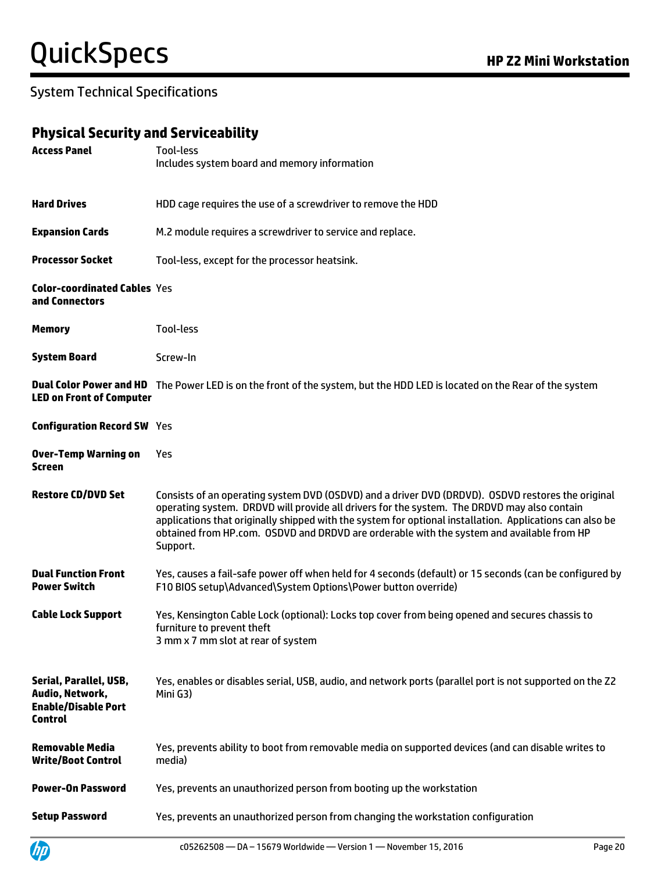#### **Physical Security and Serviceability**

| <b>Access Panel</b>                                                                       | Tool-less<br>Includes system board and memory information                                                                                                                                                                                                                                                                                                                                                             |
|-------------------------------------------------------------------------------------------|-----------------------------------------------------------------------------------------------------------------------------------------------------------------------------------------------------------------------------------------------------------------------------------------------------------------------------------------------------------------------------------------------------------------------|
| <b>Hard Drives</b>                                                                        | HDD cage requires the use of a screwdriver to remove the HDD                                                                                                                                                                                                                                                                                                                                                          |
| <b>Expansion Cards</b>                                                                    | M.2 module requires a screwdriver to service and replace.                                                                                                                                                                                                                                                                                                                                                             |
| <b>Processor Socket</b>                                                                   | Tool-less, except for the processor heatsink.                                                                                                                                                                                                                                                                                                                                                                         |
| <b>Color-coordinated Cables Yes</b><br>and Connectors                                     |                                                                                                                                                                                                                                                                                                                                                                                                                       |
| <b>Memory</b>                                                                             | Tool-less                                                                                                                                                                                                                                                                                                                                                                                                             |
| <b>System Board</b>                                                                       | Screw-In                                                                                                                                                                                                                                                                                                                                                                                                              |
| <b>LED on Front of Computer</b>                                                           | <b>Dual Color Power and HD</b> The Power LED is on the front of the system, but the HDD LED is located on the Rear of the system                                                                                                                                                                                                                                                                                      |
| <b>Configuration Record SW Yes</b>                                                        |                                                                                                                                                                                                                                                                                                                                                                                                                       |
| <b>Over-Temp Warning on</b><br>Screen                                                     | Yes                                                                                                                                                                                                                                                                                                                                                                                                                   |
| <b>Restore CD/DVD Set</b>                                                                 | Consists of an operating system DVD (OSDVD) and a driver DVD (DRDVD). OSDVD restores the original<br>operating system. DRDVD will provide all drivers for the system. The DRDVD may also contain<br>applications that originally shipped with the system for optional installation. Applications can also be<br>obtained from HP.com. OSDVD and DRDVD are orderable with the system and available from HP<br>Support. |
| <b>Dual Function Front</b><br><b>Power Switch</b>                                         | Yes, causes a fail-safe power off when held for 4 seconds (default) or 15 seconds (can be configured by<br>F10 BIOS setup\Advanced\System Options\Power button override)                                                                                                                                                                                                                                              |
| <b>Cable Lock Support</b>                                                                 | Yes, Kensington Cable Lock (optional): Locks top cover from being opened and secures chassis to<br>furniture to prevent theft<br>3 mm x 7 mm slot at rear of system                                                                                                                                                                                                                                                   |
| Serial, Parallel, USB,<br>Audio, Network,<br><b>Enable/Disable Port</b><br><b>Control</b> | Yes, enables or disables serial, USB, audio, and network ports (parallel port is not supported on the Z2<br>Mini G3)                                                                                                                                                                                                                                                                                                  |
| <b>Removable Media</b><br><b>Write/Boot Control</b>                                       | Yes, prevents ability to boot from removable media on supported devices (and can disable writes to<br>media)                                                                                                                                                                                                                                                                                                          |
| <b>Power-On Password</b>                                                                  | Yes, prevents an unauthorized person from booting up the workstation                                                                                                                                                                                                                                                                                                                                                  |
| <b>Setup Password</b>                                                                     | Yes, prevents an unauthorized person from changing the workstation configuration                                                                                                                                                                                                                                                                                                                                      |

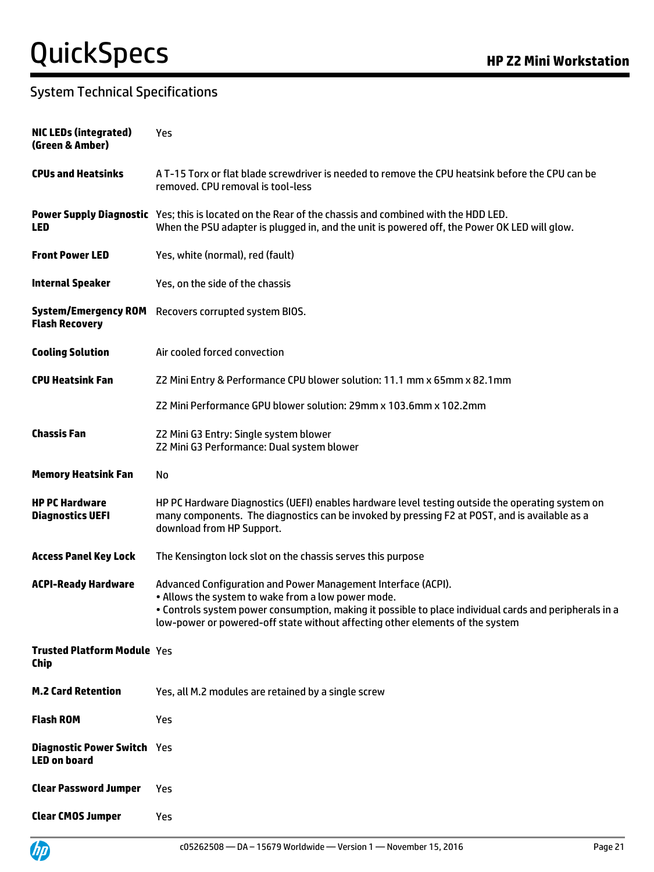| <b>NIC LEDs (integrated)</b><br>(Green & Amber)           | Yes                                                                                                                                                                                                                                                                                                            |
|-----------------------------------------------------------|----------------------------------------------------------------------------------------------------------------------------------------------------------------------------------------------------------------------------------------------------------------------------------------------------------------|
| <b>CPUs and Heatsinks</b>                                 | A T-15 Torx or flat blade screwdriver is needed to remove the CPU heatsink before the CPU can be<br>removed. CPU removal is tool-less                                                                                                                                                                          |
| <b>LED</b>                                                | Power Supply Diagnostic Yes; this is located on the Rear of the chassis and combined with the HDD LED.<br>When the PSU adapter is plugged in, and the unit is powered off, the Power OK LED will glow.                                                                                                         |
| <b>Front Power LED</b>                                    | Yes, white (normal), red (fault)                                                                                                                                                                                                                                                                               |
| <b>Internal Speaker</b>                                   | Yes, on the side of the chassis                                                                                                                                                                                                                                                                                |
| <b>Flash Recovery</b>                                     | System/Emergency ROM Recovers corrupted system BIOS.                                                                                                                                                                                                                                                           |
| <b>Cooling Solution</b>                                   | Air cooled forced convection                                                                                                                                                                                                                                                                                   |
| <b>CPU Heatsink Fan</b>                                   | Z2 Mini Entry & Performance CPU blower solution: 11.1 mm x 65mm x 82.1mm                                                                                                                                                                                                                                       |
|                                                           | Z2 Mini Performance GPU blower solution: 29mm x 103.6mm x 102.2mm                                                                                                                                                                                                                                              |
| <b>Chassis Fan</b>                                        | Z2 Mini G3 Entry: Single system blower<br>Z2 Mini G3 Performance: Dual system blower                                                                                                                                                                                                                           |
| <b>Memory Heatsink Fan</b>                                | No                                                                                                                                                                                                                                                                                                             |
| <b>HP PC Hardware</b><br><b>Diagnostics UEFI</b>          | HP PC Hardware Diagnostics (UEFI) enables hardware level testing outside the operating system on<br>many components. The diagnostics can be invoked by pressing F2 at POST, and is available as a<br>download from HP Support.                                                                                 |
| <b>Access Panel Key Lock</b>                              | The Kensington lock slot on the chassis serves this purpose                                                                                                                                                                                                                                                    |
| <b>ACPI-Ready Hardware</b>                                | Advanced Configuration and Power Management Interface (ACPI).<br>. Allows the system to wake from a low power mode.<br>. Controls system power consumption, making it possible to place individual cards and peripherals in a<br>low-power or powered-off state without affecting other elements of the system |
| <b>Trusted Platform Module Yes</b><br><b>Chip</b>         |                                                                                                                                                                                                                                                                                                                |
| <b>M.2 Card Retention</b>                                 | Yes, all M.2 modules are retained by a single screw                                                                                                                                                                                                                                                            |
| <b>Flash ROM</b>                                          | Yes                                                                                                                                                                                                                                                                                                            |
| <b>Diagnostic Power Switch Yes</b><br><b>LED on board</b> |                                                                                                                                                                                                                                                                                                                |
| <b>Clear Password Jumper</b>                              | Yes                                                                                                                                                                                                                                                                                                            |
| <b>Clear CMOS Jumper</b>                                  | Yes                                                                                                                                                                                                                                                                                                            |

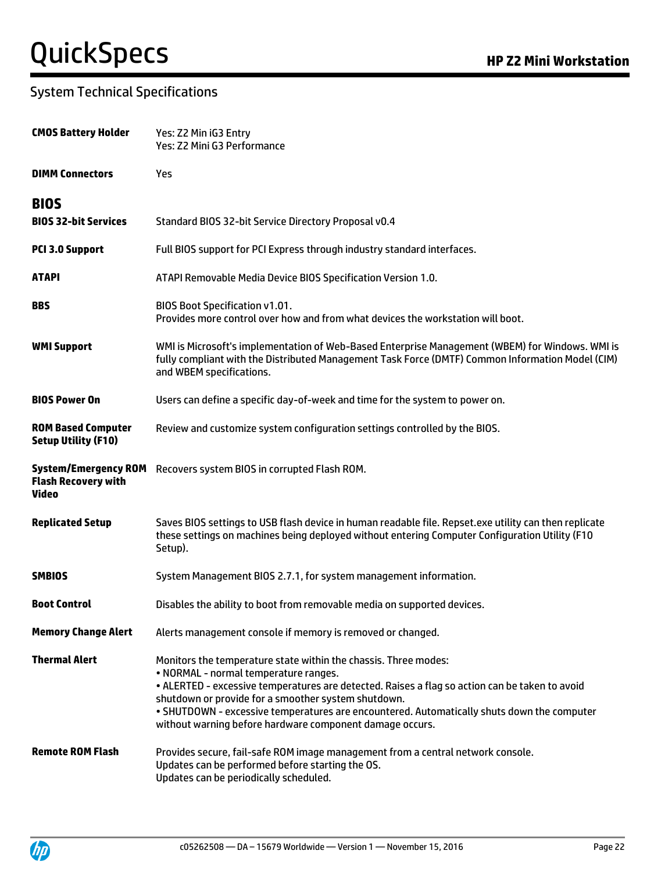| <b>CMOS Battery Holder</b>                                                | Yes: Z2 Min iG3 Entry<br>Yes: Z2 Mini G3 Performance                                                                                                                                                                                                                                                                                                                                                                        |
|---------------------------------------------------------------------------|-----------------------------------------------------------------------------------------------------------------------------------------------------------------------------------------------------------------------------------------------------------------------------------------------------------------------------------------------------------------------------------------------------------------------------|
| <b>DIMM Connectors</b>                                                    | Yes                                                                                                                                                                                                                                                                                                                                                                                                                         |
| <b>BIOS</b>                                                               |                                                                                                                                                                                                                                                                                                                                                                                                                             |
| <b>BIOS 32-bit Services</b>                                               | Standard BIOS 32-bit Service Directory Proposal v0.4                                                                                                                                                                                                                                                                                                                                                                        |
| PCI 3.0 Support                                                           | Full BIOS support for PCI Express through industry standard interfaces.                                                                                                                                                                                                                                                                                                                                                     |
| <b>ATAPI</b>                                                              | ATAPI Removable Media Device BIOS Specification Version 1.0.                                                                                                                                                                                                                                                                                                                                                                |
| <b>BBS</b>                                                                | BIOS Boot Specification v1.01.<br>Provides more control over how and from what devices the workstation will boot.                                                                                                                                                                                                                                                                                                           |
| <b>WMI Support</b>                                                        | WMI is Microsoft's implementation of Web-Based Enterprise Management (WBEM) for Windows. WMI is<br>fully compliant with the Distributed Management Task Force (DMTF) Common Information Model (CIM)<br>and WBEM specifications.                                                                                                                                                                                             |
| <b>BIOS Power On</b>                                                      | Users can define a specific day-of-week and time for the system to power on.                                                                                                                                                                                                                                                                                                                                                |
| <b>ROM Based Computer</b><br><b>Setup Utility (F10)</b>                   | Review and customize system configuration settings controlled by the BIOS.                                                                                                                                                                                                                                                                                                                                                  |
| <b>System/Emergency ROM</b><br><b>Flash Recovery with</b><br><b>Video</b> | Recovers system BIOS in corrupted Flash ROM.                                                                                                                                                                                                                                                                                                                                                                                |
| <b>Replicated Setup</b>                                                   | Saves BIOS settings to USB flash device in human readable file. Repset.exe utility can then replicate<br>these settings on machines being deployed without entering Computer Configuration Utility (F10<br>Setup).                                                                                                                                                                                                          |
| <b>SMBIOS</b>                                                             | System Management BIOS 2.7.1, for system management information.                                                                                                                                                                                                                                                                                                                                                            |
| <b>Boot Control</b>                                                       | Disables the ability to boot from removable media on supported devices.                                                                                                                                                                                                                                                                                                                                                     |
| <b>Memory Change Alert</b>                                                | Alerts management console if memory is removed or changed.                                                                                                                                                                                                                                                                                                                                                                  |
| <b>Thermal Alert</b>                                                      | Monitors the temperature state within the chassis. Three modes:<br>• NORMAL - normal temperature ranges.<br>. ALERTED - excessive temperatures are detected. Raises a flag so action can be taken to avoid<br>shutdown or provide for a smoother system shutdown.<br>. SHUTDOWN - excessive temperatures are encountered. Automatically shuts down the computer<br>without warning before hardware component damage occurs. |
| <b>Remote ROM Flash</b>                                                   | Provides secure, fail-safe ROM image management from a central network console.<br>Updates can be performed before starting the OS.<br>Updates can be periodically scheduled.                                                                                                                                                                                                                                               |

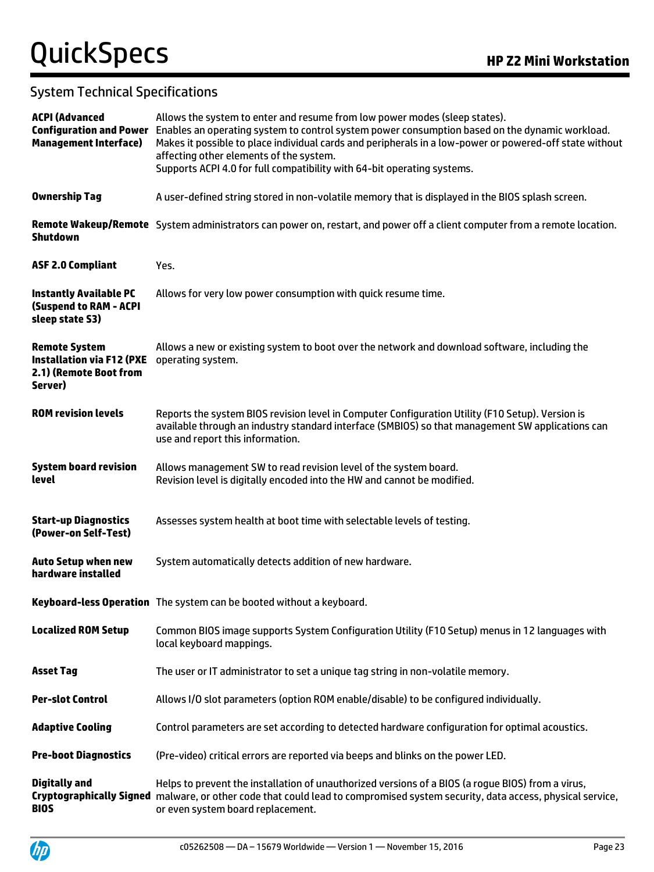| <b>ACPI (Advanced</b><br><b>Management Interface)</b>                                         | Allows the system to enter and resume from low power modes (sleep states).<br>Configuration and Power Enables an operating system to control system power consumption based on the dynamic workload.<br>Makes it possible to place individual cards and peripherals in a low-power or powered-off state without<br>affecting other elements of the system.<br>Supports ACPI 4.0 for full compatibility with 64-bit operating systems. |
|-----------------------------------------------------------------------------------------------|---------------------------------------------------------------------------------------------------------------------------------------------------------------------------------------------------------------------------------------------------------------------------------------------------------------------------------------------------------------------------------------------------------------------------------------|
| <b>Ownership Tag</b>                                                                          | A user-defined string stored in non-volatile memory that is displayed in the BIOS splash screen.                                                                                                                                                                                                                                                                                                                                      |
| <b>Shutdown</b>                                                                               | Remote Wakeup/Remote System administrators can power on, restart, and power off a client computer from a remote location.                                                                                                                                                                                                                                                                                                             |
| <b>ASF 2.0 Compliant</b>                                                                      | Yes.                                                                                                                                                                                                                                                                                                                                                                                                                                  |
| <b>Instantly Available PC</b><br><b>(Suspend to RAM - ACPI</b><br>sleep state S3)             | Allows for very low power consumption with quick resume time.                                                                                                                                                                                                                                                                                                                                                                         |
| <b>Remote System</b><br><b>Installation via F12 (PXE</b><br>2.1) (Remote Boot from<br>Server) | Allows a new or existing system to boot over the network and download software, including the<br>operating system.                                                                                                                                                                                                                                                                                                                    |
| <b>ROM revision levels</b>                                                                    | Reports the system BIOS revision level in Computer Configuration Utility (F10 Setup). Version is<br>available through an industry standard interface (SMBIOS) so that management SW applications can<br>use and report this information.                                                                                                                                                                                              |
| <b>System board revision</b><br>level                                                         | Allows management SW to read revision level of the system board.<br>Revision level is digitally encoded into the HW and cannot be modified.                                                                                                                                                                                                                                                                                           |
| <b>Start-up Diagnostics</b><br>(Power-on Self-Test)                                           | Assesses system health at boot time with selectable levels of testing.                                                                                                                                                                                                                                                                                                                                                                |
| <b>Auto Setup when new</b><br>hardware installed                                              | System automatically detects addition of new hardware.                                                                                                                                                                                                                                                                                                                                                                                |
|                                                                                               | Keyboard-less Operation The system can be booted without a keyboard.                                                                                                                                                                                                                                                                                                                                                                  |
| <b>Localized ROM Setup</b>                                                                    | Common BIOS image supports System Configuration Utility (F10 Setup) menus in 12 languages with<br>local keyboard mappings.                                                                                                                                                                                                                                                                                                            |
| <b>Asset Tag</b>                                                                              | The user or IT administrator to set a unique tag string in non-volatile memory.                                                                                                                                                                                                                                                                                                                                                       |
| <b>Per-slot Control</b>                                                                       | Allows I/O slot parameters (option ROM enable/disable) to be configured individually.                                                                                                                                                                                                                                                                                                                                                 |
| <b>Adaptive Cooling</b>                                                                       | Control parameters are set according to detected hardware configuration for optimal acoustics.                                                                                                                                                                                                                                                                                                                                        |
| <b>Pre-boot Diagnostics</b>                                                                   | (Pre-video) critical errors are reported via beeps and blinks on the power LED.                                                                                                                                                                                                                                                                                                                                                       |
| <b>Digitally and</b><br><b>BIOS</b>                                                           | Helps to prevent the installation of unauthorized versions of a BIOS (a rogue BIOS) from a virus,<br>Cryptographically Signed malware, or other code that could lead to compromised system security, data access, physical service,<br>or even system board replacement.                                                                                                                                                              |

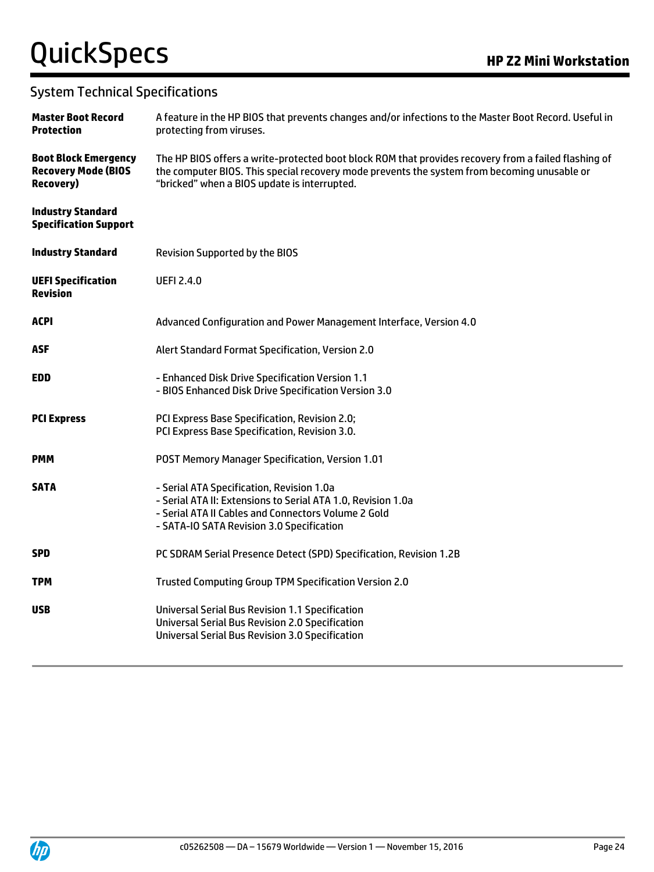| <b>Master Boot Record</b><br><b>Protection</b>                                 | A feature in the HP BIOS that prevents changes and/or infections to the Master Boot Record. Useful in<br>protecting from viruses.                                                                                                                   |
|--------------------------------------------------------------------------------|-----------------------------------------------------------------------------------------------------------------------------------------------------------------------------------------------------------------------------------------------------|
| <b>Boot Block Emergency</b><br><b>Recovery Mode (BIOS</b><br><b>Recovery</b> ) | The HP BIOS offers a write-protected boot block ROM that provides recovery from a failed flashing of<br>the computer BIOS. This special recovery mode prevents the system from becoming unusable or<br>"bricked" when a BIOS update is interrupted. |
| <b>Industry Standard</b><br><b>Specification Support</b>                       |                                                                                                                                                                                                                                                     |
| <b>Industry Standard</b>                                                       | <b>Revision Supported by the BIOS</b>                                                                                                                                                                                                               |
| <b>UEFI Specification</b><br><b>Revision</b>                                   | <b>UEFI 2.4.0</b>                                                                                                                                                                                                                                   |
| <b>ACPI</b>                                                                    | Advanced Configuration and Power Management Interface, Version 4.0                                                                                                                                                                                  |
| <b>ASF</b>                                                                     | Alert Standard Format Specification, Version 2.0                                                                                                                                                                                                    |
| <b>EDD</b>                                                                     | - Enhanced Disk Drive Specification Version 1.1<br>- BIOS Enhanced Disk Drive Specification Version 3.0                                                                                                                                             |
| <b>PCI Express</b>                                                             | PCI Express Base Specification, Revision 2.0;<br>PCI Express Base Specification, Revision 3.0.                                                                                                                                                      |
| <b>PMM</b>                                                                     | POST Memory Manager Specification, Version 1.01                                                                                                                                                                                                     |
| <b>SATA</b>                                                                    | - Serial ATA Specification, Revision 1.0a<br>- Serial ATA II: Extensions to Serial ATA 1.0, Revision 1.0a<br>- Serial ATA II Cables and Connectors Volume 2 Gold<br>- SATA-IO SATA Revision 3.0 Specification                                       |
| <b>SPD</b>                                                                     | PC SDRAM Serial Presence Detect (SPD) Specification, Revision 1.2B                                                                                                                                                                                  |
| <b>TPM</b>                                                                     | Trusted Computing Group TPM Specification Version 2.0                                                                                                                                                                                               |
| <b>USB</b>                                                                     | <b>Universal Serial Bus Revision 1.1 Specification</b><br><b>Universal Serial Bus Revision 2.0 Specification</b><br><b>Universal Serial Bus Revision 3.0 Specification</b>                                                                          |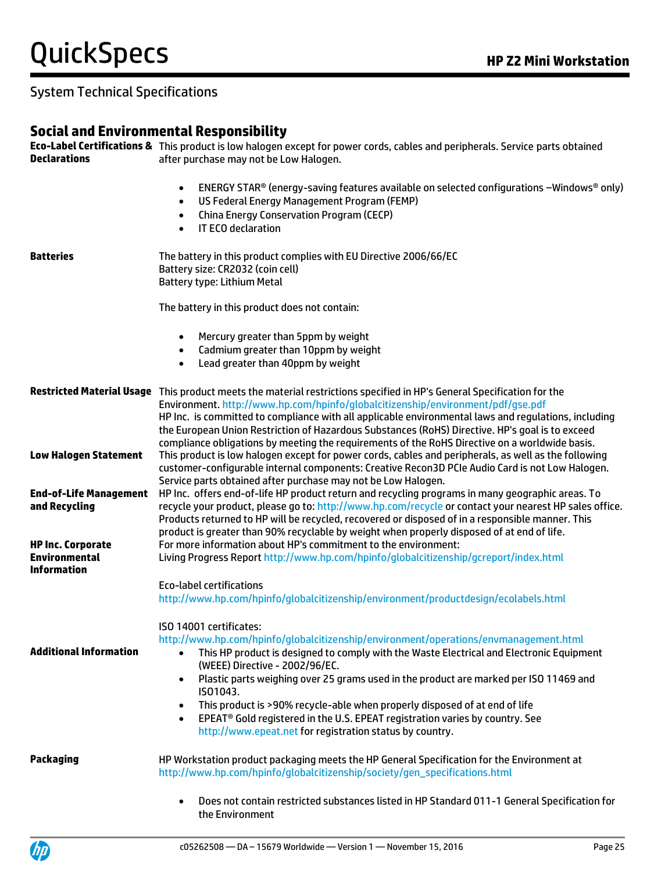## **Social and Environmental Responsibility**

| <b>Declarations</b>                                                        | <b>Eco-Label Certifications &amp;</b> This product is low halogen except for power cords, cables and peripherals. Service parts obtained<br>after purchase may not be Low Halogen.                                                                                                                                                                                                                                                                                             |
|----------------------------------------------------------------------------|--------------------------------------------------------------------------------------------------------------------------------------------------------------------------------------------------------------------------------------------------------------------------------------------------------------------------------------------------------------------------------------------------------------------------------------------------------------------------------|
|                                                                            | ENERGY STAR® (energy-saving features available on selected configurations -Windows® only)<br>$\bullet$<br>US Federal Energy Management Program (FEMP)<br>$\bullet$<br><b>China Energy Conservation Program (CECP)</b><br>$\bullet$<br>IT ECO declaration<br>$\bullet$                                                                                                                                                                                                          |
| <b>Batteries</b>                                                           | The battery in this product complies with EU Directive 2006/66/EC<br>Battery size: CR2032 (coin cell)<br>Battery type: Lithium Metal                                                                                                                                                                                                                                                                                                                                           |
|                                                                            | The battery in this product does not contain:                                                                                                                                                                                                                                                                                                                                                                                                                                  |
|                                                                            | Mercury greater than 5ppm by weight<br>$\bullet$<br>Cadmium greater than 10ppm by weight<br>$\bullet$<br>Lead greater than 40ppm by weight<br>$\bullet$                                                                                                                                                                                                                                                                                                                        |
|                                                                            | Restricted Material Usage This product meets the material restrictions specified in HP's General Specification for the<br>Environment. http://www.hp.com/hpinfo/globalcitizenship/environment/pdf/gse.pdf<br>HP Inc. is committed to compliance with all applicable environmental laws and regulations, including<br>the European Union Restriction of Hazardous Substances (RoHS) Directive. HP's goal is to exceed                                                           |
| <b>Low Halogen Statement</b>                                               | compliance obligations by meeting the requirements of the RoHS Directive on a worldwide basis.<br>This product is low halogen except for power cords, cables and peripherals, as well as the following<br>customer-configurable internal components: Creative Recon3D PCIe Audio Card is not Low Halogen.<br>Service parts obtained after purchase may not be Low Halogen.                                                                                                     |
| <b>End-of-Life Management</b><br>and Recycling<br><b>HP Inc. Corporate</b> | HP Inc. offers end-of-life HP product return and recycling programs in many geographic areas. To<br>recycle your product, please go to: http://www.hp.com/recycle or contact your nearest HP sales office.<br>Products returned to HP will be recycled, recovered or disposed of in a responsible manner. This<br>product is greater than 90% recyclable by weight when properly disposed of at end of life.<br>For more information about HP's commitment to the environment: |
| <b>Environmental</b><br><b>Information</b>                                 | Living Progress Report http://www.hp.com/hpinfo/globalcitizenship/gcreport/index.html                                                                                                                                                                                                                                                                                                                                                                                          |
|                                                                            | <b>Eco-label certifications</b><br>http://www.hp.com/hpinfo/globalcitizenship/environment/productdesign/ecolabels.html                                                                                                                                                                                                                                                                                                                                                         |
| <b>Additional Information</b>                                              | ISO 14001 certificates:<br>http://www.hp.com/hpinfo/globalcitizenship/environment/operations/envmanagement.html<br>This HP product is designed to comply with the Waste Electrical and Electronic Equipment<br>$\bullet$<br>(WEEE) Directive - 2002/96/EC.                                                                                                                                                                                                                     |
|                                                                            | Plastic parts weighing over 25 grams used in the product are marked per ISO 11469 and<br>$\bullet$<br>ISO1043.<br>This product is >90% recycle-able when properly disposed of at end of life<br>$\bullet$<br>EPEAT <sup>®</sup> Gold registered in the U.S. EPEAT registration varies by country. See<br>$\bullet$<br>http://www.epeat.net for registration status by country.                                                                                                 |
| Packaging                                                                  | HP Workstation product packaging meets the HP General Specification for the Environment at<br>http://www.hp.com/hpinfo/globalcitizenship/society/gen_specifications.html                                                                                                                                                                                                                                                                                                       |
|                                                                            | Does not contain restricted substances listed in HP Standard 011-1 General Specification for<br>the Environment                                                                                                                                                                                                                                                                                                                                                                |

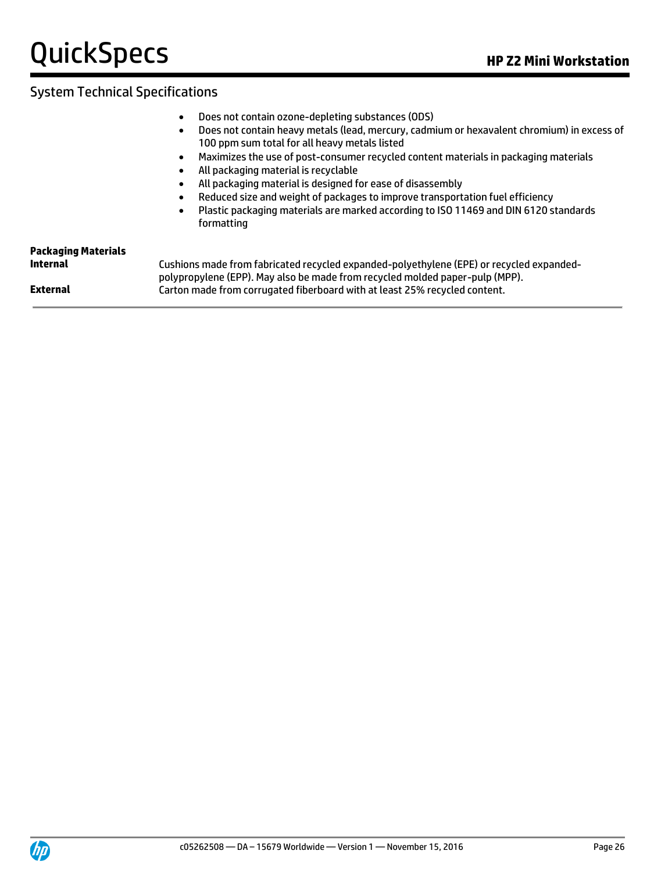- Does not contain ozone-depleting substances (ODS)
- Does not contain heavy metals (lead, mercury, cadmium or hexavalent chromium) in excess of 100 ppm sum total for all heavy metals listed
- Maximizes the use of post-consumer recycled content materials in packaging materials
- All packaging material is recyclable
- All packaging material is designed for ease of disassembly
- Reduced size and weight of packages to improve transportation fuel efficiency
- Plastic packaging materials are marked according to ISO 11469 and DIN 6120 standards formatting

| <b>Packaging Materials</b> |                                                                                                                                                                          |
|----------------------------|--------------------------------------------------------------------------------------------------------------------------------------------------------------------------|
| Internal                   | Cushions made from fabricated recycled expanded-polyethylene (EPE) or recycled expanded-<br>polypropylene (EPP). May also be made from recycled molded paper-pulp (MPP). |
| External                   | Carton made from corrugated fiberboard with at least 25% recycled content.                                                                                               |

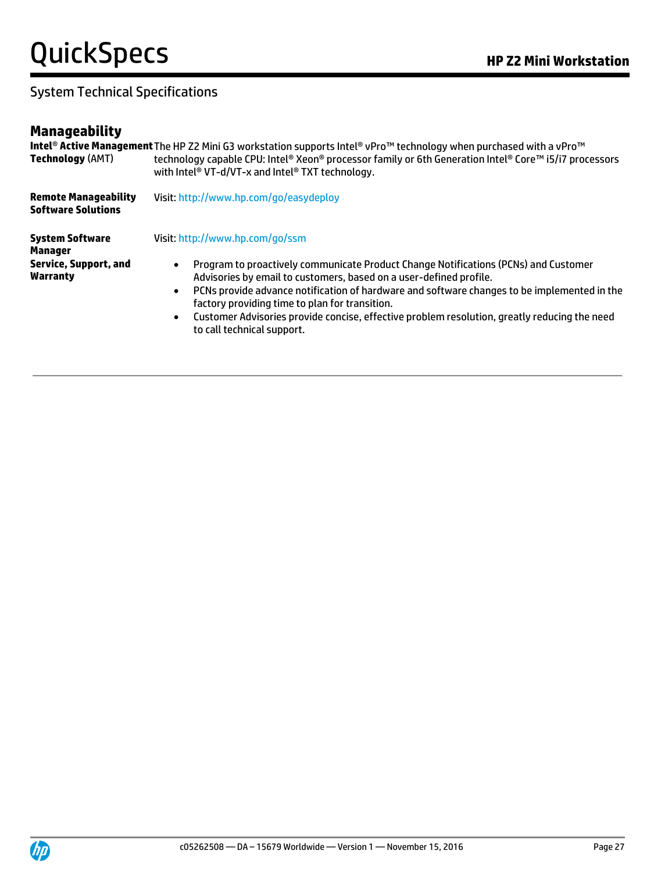## System Technical Specifications

## **Manageability**

| <b>Technology (AMT)</b>                                                       | Intel® Active Management The HP Z2 Mini G3 workstation supports Intel® vPro™ technology when purchased with a vPro™<br>technology capable CPU: Intel® Xeon® processor family or 6th Generation Intel® Core™ i5/i7 processors<br>with Intel <sup>®</sup> VT-d/VT-x and Intel <sup>®</sup> TXT technology.                                                                                                                                                                                                           |  |  |
|-------------------------------------------------------------------------------|--------------------------------------------------------------------------------------------------------------------------------------------------------------------------------------------------------------------------------------------------------------------------------------------------------------------------------------------------------------------------------------------------------------------------------------------------------------------------------------------------------------------|--|--|
| <b>Remote Manageability</b><br><b>Software Solutions</b>                      | Visit: http://www.hp.com/go/easydeploy                                                                                                                                                                                                                                                                                                                                                                                                                                                                             |  |  |
| <b>System Software</b><br>Manager<br><b>Service, Support, and</b><br>Warranty | Visit: http://www.hp.com/go/ssm<br>Program to proactively communicate Product Change Notifications (PCNs) and Customer<br>$\bullet$<br>Advisories by email to customers, based on a user-defined profile.<br>PCNs provide advance notification of hardware and software changes to be implemented in the<br>$\bullet$<br>factory providing time to plan for transition.<br>Customer Advisories provide concise, effective problem resolution, greatly reducing the need<br>$\bullet$<br>to call technical support. |  |  |

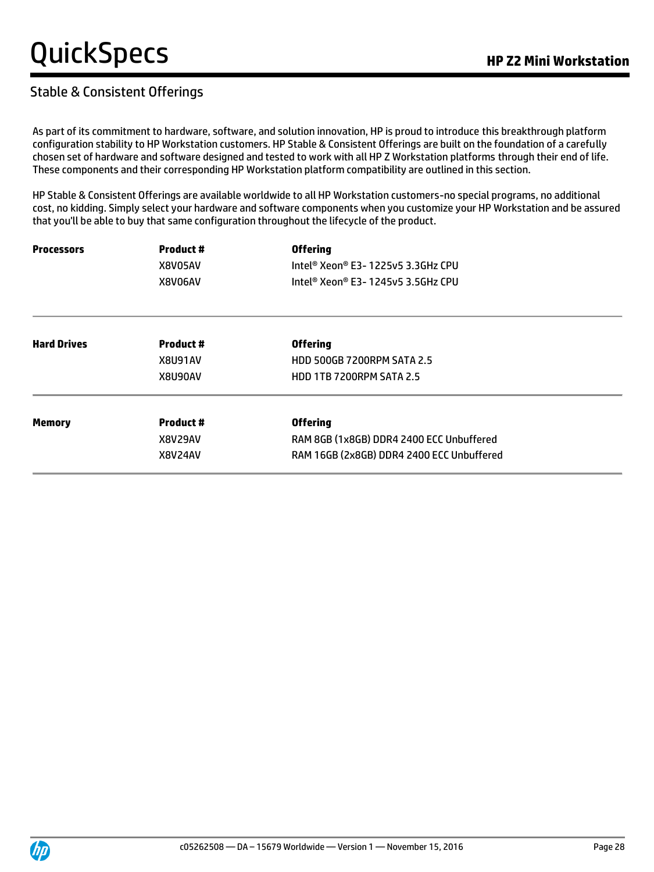#### Stable & Consistent Offerings

As part of its commitment to hardware, software, and solution innovation, HP is proud to introduce this breakthrough platform configuration stability to HP Workstation customers. HP Stable & Consistent Offerings are built on the foundation of a carefully chosen set of hardware and software designed and tested to work with all HP Z Workstation platforms through their end of life. These components and their corresponding HP Workstation platform compatibility are outlined in this section.

HP Stable & Consistent Offerings are available worldwide to all HP Workstation customers-no special programs, no additional cost, no kidding. Simply select your hardware and software components when you customize your HP Workstation and be assured that you'll be able to buy that same configuration throughout the lifecycle of the product.

| <b>Processors</b>  | <b>Product #</b> | <b>Offering</b>                           |  |  |
|--------------------|------------------|-------------------------------------------|--|--|
|                    | X8V05AV          | Intel® Xeon® E3- 1225v5 3.3GHz CPU        |  |  |
|                    | X8V06AV          | Intel® Xeon® E3- 1245v5 3.5GHz CPU        |  |  |
| <b>Hard Drives</b> | <b>Product #</b> | <b>Offering</b>                           |  |  |
|                    | X8U91AV          | <b>HDD 500GB 7200RPM SATA 2.5</b>         |  |  |
|                    | X8U90AV          | <b>HDD 1TB 7200RPM SATA 2.5</b>           |  |  |
| <b>Memory</b>      | <b>Product #</b> | <b>Offering</b>                           |  |  |
|                    | X8V29AV          | RAM 8GB (1x8GB) DDR4 2400 ECC Unbuffered  |  |  |
|                    | <b>X8V24AV</b>   | RAM 16GB (2x8GB) DDR4 2400 ECC Unbuffered |  |  |

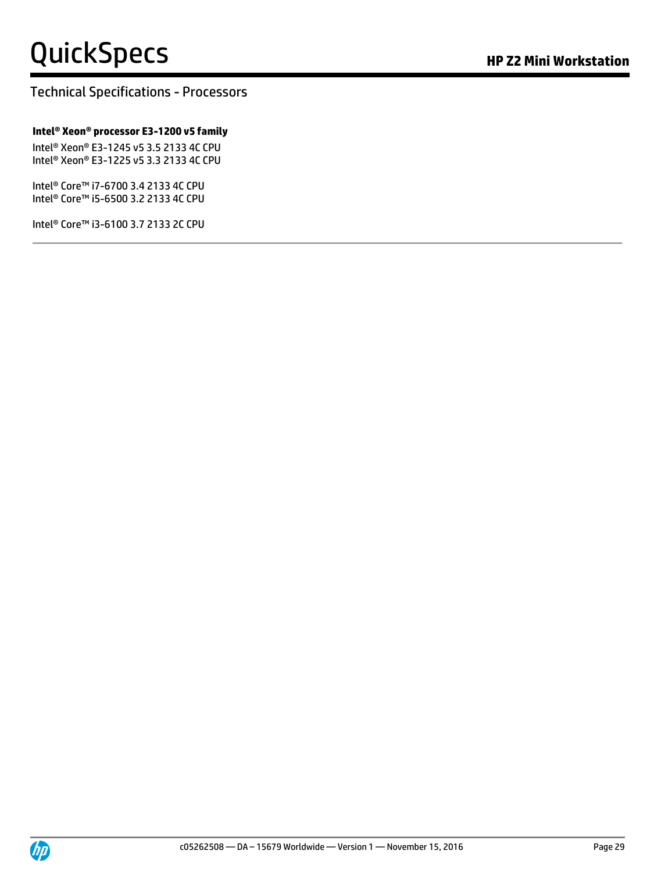#### Technical Specifications - Processors

#### **Intel® Xeon® processor E3-1200 v5 family**

Intel® Xeon® E3-1245 v5 3.5 2133 4C CPU Intel® Xeon® E3-1225 v5 3.3 2133 4C CPU

Intel® Core™ i7-6700 3.4 2133 4C CPU Intel® Core™ i5-6500 3.2 2133 4C CPU

Intel® Core™ i3-6100 3.7 2133 2C CPU

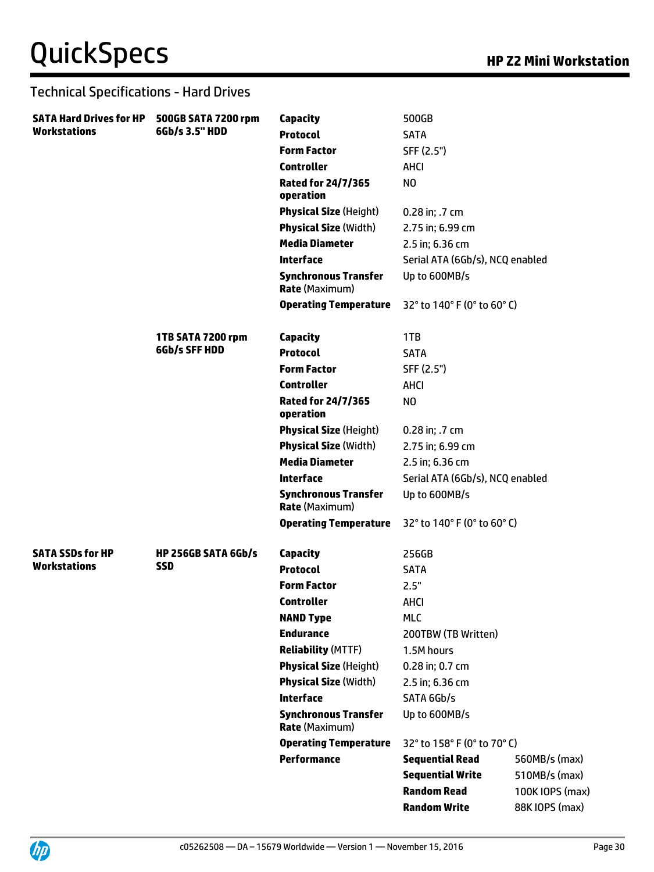#### Technical Specifications - Hard Drives

| <b>SATA Hard Drives for HP</b> | 500GB SATA 7200 rpm        | Capacity                                             | 500GB                           |                 |
|--------------------------------|----------------------------|------------------------------------------------------|---------------------------------|-----------------|
| <b>Workstations</b>            | 6Gb/s 3.5" HDD             | <b>Protocol</b>                                      | <b>SATA</b>                     |                 |
|                                |                            | <b>Form Factor</b>                                   | SFF (2.5")                      |                 |
|                                |                            | <b>Controller</b>                                    | <b>AHCI</b>                     |                 |
|                                |                            | <b>Rated for 24/7/365</b><br>operation               | N <sub>O</sub>                  |                 |
|                                |                            | <b>Physical Size (Height)</b>                        | 0.28 in; .7 cm                  |                 |
|                                |                            | <b>Physical Size (Width)</b>                         | 2.75 in; 6.99 cm                |                 |
|                                |                            | <b>Media Diameter</b>                                | 2.5 in; 6.36 cm                 |                 |
|                                |                            | <b>Interface</b>                                     | Serial ATA (6Gb/s), NCQ enabled |                 |
|                                |                            | <b>Synchronous Transfer</b><br><b>Rate (Maximum)</b> | Up to 600MB/s                   |                 |
|                                |                            | <b>Operating Temperature</b>                         | 32° to 140° F (0° to 60° C)     |                 |
|                                | 1TB SATA 7200 rpm          | <b>Capacity</b>                                      | 1TB                             |                 |
|                                | 6Gb/s SFF HDD              | <b>Protocol</b>                                      | <b>SATA</b>                     |                 |
|                                |                            | <b>Form Factor</b>                                   | SFF (2.5")                      |                 |
|                                |                            | <b>Controller</b>                                    | <b>AHCI</b>                     |                 |
|                                |                            | Rated for 24/7/365<br>operation                      | N <sub>O</sub>                  |                 |
|                                |                            | <b>Physical Size (Height)</b>                        | 0.28 in; .7 cm                  |                 |
|                                |                            | <b>Physical Size (Width)</b>                         | 2.75 in; 6.99 cm                |                 |
|                                |                            | <b>Media Diameter</b>                                | 2.5 in; 6.36 cm                 |                 |
|                                |                            | <b>Interface</b>                                     | Serial ATA (6Gb/s), NCQ enabled |                 |
|                                |                            | <b>Synchronous Transfer</b><br><b>Rate (Maximum)</b> | Up to 600MB/s                   |                 |
|                                |                            | <b>Operating Temperature</b>                         | 32° to 140° F (0° to 60° C)     |                 |
| <b>SATA SSDs for HP</b>        | <b>HP 256GB SATA 6Gb/s</b> | Capacity                                             | 256GB                           |                 |
| <b>Workstations</b>            | <b>SSD</b>                 | <b>Protocol</b>                                      | <b>SATA</b>                     |                 |
|                                |                            | <b>Form Factor</b>                                   | 2.5"                            |                 |
|                                |                            | <b>Controller</b>                                    | AHCI                            |                 |
|                                |                            | <b>NAND Type</b>                                     | <b>MLC</b>                      |                 |
|                                |                            | <b>Endurance</b>                                     | 200TBW (TB Written)             |                 |
|                                |                            | <b>Reliability (MTTF)</b>                            | 1.5M hours                      |                 |
|                                |                            | <b>Physical Size (Height)</b>                        | 0.28 in; 0.7 cm                 |                 |
|                                |                            | <b>Physical Size (Width)</b>                         | 2.5 in; 6.36 cm                 |                 |
|                                |                            | <b>Interface</b>                                     | SATA 6Gb/s                      |                 |
|                                |                            | <b>Synchronous Transfer</b><br><b>Rate (Maximum)</b> | Up to 600MB/s                   |                 |
|                                |                            | <b>Operating Temperature</b>                         | 32° to 158° F (0° to 70° C)     |                 |
|                                |                            | <b>Performance</b>                                   | <b>Sequential Read</b>          | 560MB/s (max)   |
|                                |                            |                                                      | <b>Sequential Write</b>         | 510MB/s (max)   |
|                                |                            |                                                      | <b>Random Read</b>              | 100K IOPS (max) |
|                                |                            |                                                      | <b>Random Write</b>             | 88K IOPS (max)  |
|                                |                            |                                                      |                                 |                 |

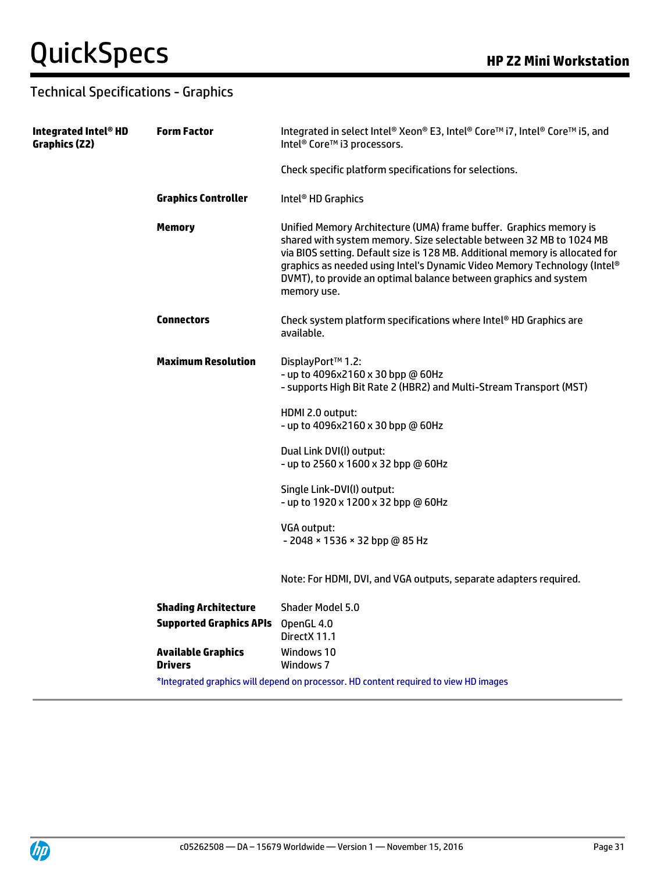## Technical Specifications - Graphics

| Integrated Intel® HD<br>Graphics (Z2) | <b>Form Factor</b>                          | Integrated in select Intel® Xeon® E3, Intel® Core™ i7, Intel® Core™ i5, and<br>Intel <sup>®</sup> Core™ i3 processors.                                                                                                                                                                                                                                                                   |  |  |  |  |
|---------------------------------------|---------------------------------------------|------------------------------------------------------------------------------------------------------------------------------------------------------------------------------------------------------------------------------------------------------------------------------------------------------------------------------------------------------------------------------------------|--|--|--|--|
|                                       |                                             | Check specific platform specifications for selections.                                                                                                                                                                                                                                                                                                                                   |  |  |  |  |
|                                       | <b>Graphics Controller</b>                  | Intel <sup>®</sup> HD Graphics                                                                                                                                                                                                                                                                                                                                                           |  |  |  |  |
|                                       | <b>Memory</b>                               | Unified Memory Architecture (UMA) frame buffer. Graphics memory is<br>shared with system memory. Size selectable between 32 MB to 1024 MB<br>via BIOS setting. Default size is 128 MB. Additional memory is allocated for<br>graphics as needed using Intel's Dynamic Video Memory Technology (Intel®<br>DVMT), to provide an optimal balance between graphics and system<br>memory use. |  |  |  |  |
|                                       | <b>Connectors</b>                           | Check system platform specifications where Intel® HD Graphics are<br>available.                                                                                                                                                                                                                                                                                                          |  |  |  |  |
|                                       | <b>Maximum Resolution</b>                   | DisplayPort™ 1.2:<br>- up to 4096x2160 x 30 bpp @ 60Hz<br>- supports High Bit Rate 2 (HBR2) and Multi-Stream Transport (MST)                                                                                                                                                                                                                                                             |  |  |  |  |
|                                       |                                             | HDMI 2.0 output:<br>- up to 4096x2160 x 30 bpp @ 60Hz                                                                                                                                                                                                                                                                                                                                    |  |  |  |  |
|                                       |                                             | Dual Link DVI(I) output:<br>- up to 2560 x 1600 x 32 bpp @ 60Hz                                                                                                                                                                                                                                                                                                                          |  |  |  |  |
|                                       |                                             | Single Link-DVI(I) output:<br>- up to 1920 x 1200 x 32 bpp @ 60Hz                                                                                                                                                                                                                                                                                                                        |  |  |  |  |
|                                       |                                             | VGA output:<br>$-2048 \times 1536 \times 32$ bpp @ 85 Hz                                                                                                                                                                                                                                                                                                                                 |  |  |  |  |
|                                       |                                             | Note: For HDMI, DVI, and VGA outputs, separate adapters required.                                                                                                                                                                                                                                                                                                                        |  |  |  |  |
|                                       | <b>Shading Architecture</b>                 | Shader Model 5.0                                                                                                                                                                                                                                                                                                                                                                         |  |  |  |  |
|                                       | <b>Supported Graphics APIs</b>              | OpenGL 4.0<br>DirectX 11.1                                                                                                                                                                                                                                                                                                                                                               |  |  |  |  |
|                                       | <b>Available Graphics</b><br><b>Drivers</b> | Windows 10<br>Windows 7                                                                                                                                                                                                                                                                                                                                                                  |  |  |  |  |
|                                       |                                             | *Integrated graphics will depend on processor. HD content required to view HD images                                                                                                                                                                                                                                                                                                     |  |  |  |  |
|                                       |                                             |                                                                                                                                                                                                                                                                                                                                                                                          |  |  |  |  |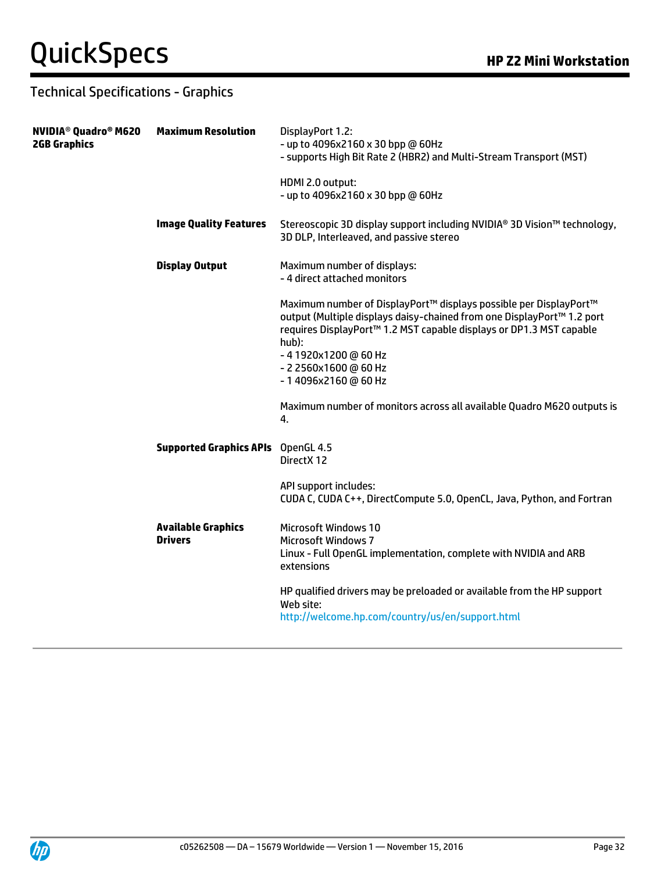#### Technical Specifications - Graphics

| NVIDIA® Quadro® M620<br><b>2GB Graphics</b> | <b>Maximum Resolution</b>                   | DisplayPort 1.2:<br>- up to 4096x2160 x 30 bpp @ 60Hz<br>- supports High Bit Rate 2 (HBR2) and Multi-Stream Transport (MST)                                                                                                                                                                  |
|---------------------------------------------|---------------------------------------------|----------------------------------------------------------------------------------------------------------------------------------------------------------------------------------------------------------------------------------------------------------------------------------------------|
|                                             |                                             | HDMI 2.0 output:<br>- up to 4096x2160 x 30 bpp @ 60Hz                                                                                                                                                                                                                                        |
|                                             | <b>Image Quality Features</b>               | Stereoscopic 3D display support including NVIDIA® 3D Vision™ technology,<br>3D DLP, Interleaved, and passive stereo                                                                                                                                                                          |
|                                             | <b>Display Output</b>                       | Maximum number of displays:<br>- 4 direct attached monitors                                                                                                                                                                                                                                  |
|                                             |                                             | Maximum number of DisplayPort™ displays possible per DisplayPort™<br>output (Multiple displays daisy-chained from one DisplayPort™ 1.2 port<br>requires DisplayPort™ 1.2 MST capable displays or DP1.3 MST capable<br>hub):<br>-41920x1200@60Hz<br>- 2 2560x1600 @ 60 Hz<br>-14096x2160@60Hz |
|                                             |                                             | Maximum number of monitors across all available Quadro M620 outputs is<br>4.                                                                                                                                                                                                                 |
|                                             | <b>Supported Graphics APIs</b>              | OpenGL 4.5<br>Direct X 12                                                                                                                                                                                                                                                                    |
|                                             |                                             | API support includes:<br>CUDA C, CUDA C++, DirectCompute 5.0, OpenCL, Java, Python, and Fortran                                                                                                                                                                                              |
|                                             | <b>Available Graphics</b><br><b>Drivers</b> | Microsoft Windows 10<br><b>Microsoft Windows 7</b><br>Linux - Full OpenGL implementation, complete with NVIDIA and ARB<br>extensions                                                                                                                                                         |
|                                             |                                             | HP qualified drivers may be preloaded or available from the HP support<br>Web site:<br>http://welcome.hp.com/country/us/en/support.html                                                                                                                                                      |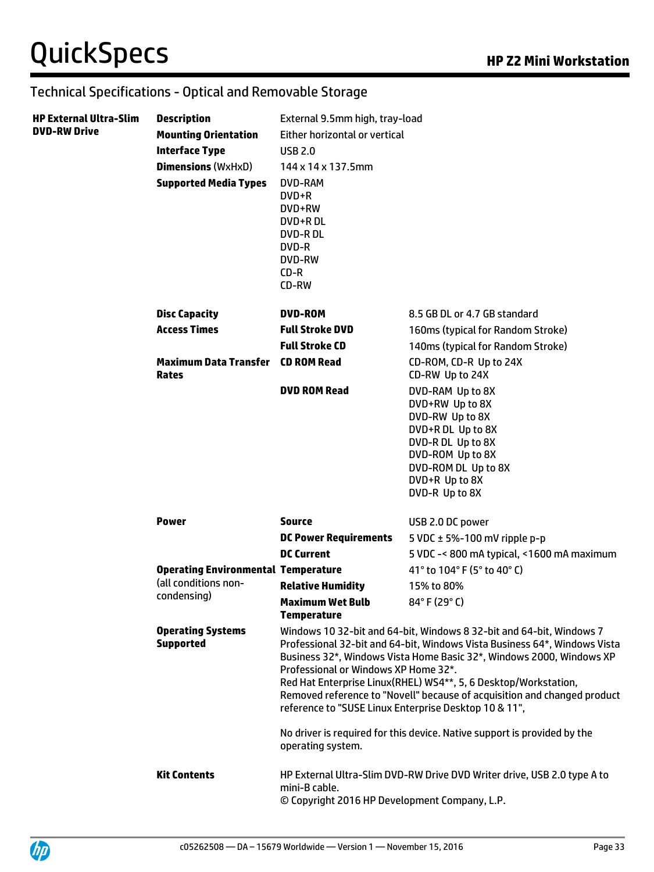#### Technical Specifications - Optical and Removable Storage

| <b>HP External Ultra-Slim</b><br><b>DVD-RW Drive</b> | <b>Description</b><br><b>Mounting Orientation</b><br><b>Interface Type</b><br><b>Dimensions</b> (WxHxD)<br><b>Supported Media Types</b> | External 9.5mm high, tray-load<br>Either horizontal or vertical<br><b>USB 2.0</b><br>144 x 14 x 137.5mm<br>DVD-RAM<br>DVD+R<br>DVD+RW<br>DVD+R DL<br><b>DVD-RDL</b><br>DVD-R<br><b>DVD-RW</b><br>$CD-R$<br>CD-RW                                                                                                                                                                                                                                                                                                                                                           |                                                                                                                                                                                 |
|------------------------------------------------------|-----------------------------------------------------------------------------------------------------------------------------------------|----------------------------------------------------------------------------------------------------------------------------------------------------------------------------------------------------------------------------------------------------------------------------------------------------------------------------------------------------------------------------------------------------------------------------------------------------------------------------------------------------------------------------------------------------------------------------|---------------------------------------------------------------------------------------------------------------------------------------------------------------------------------|
|                                                      | <b>Disc Capacity</b>                                                                                                                    | <b>DVD-ROM</b>                                                                                                                                                                                                                                                                                                                                                                                                                                                                                                                                                             | 8.5 GB DL or 4.7 GB standard                                                                                                                                                    |
|                                                      | <b>Access Times</b>                                                                                                                     | <b>Full Stroke DVD</b>                                                                                                                                                                                                                                                                                                                                                                                                                                                                                                                                                     | 160ms (typical for Random Stroke)                                                                                                                                               |
|                                                      |                                                                                                                                         | <b>Full Stroke CD</b>                                                                                                                                                                                                                                                                                                                                                                                                                                                                                                                                                      | 140ms (typical for Random Stroke)                                                                                                                                               |
|                                                      | <b>Maximum Data Transfer</b><br><b>Rates</b>                                                                                            | <b>CD ROM Read</b>                                                                                                                                                                                                                                                                                                                                                                                                                                                                                                                                                         | CD-ROM, CD-R Up to 24X<br>CD-RW Up to 24X                                                                                                                                       |
|                                                      |                                                                                                                                         | <b>DVD ROM Read</b>                                                                                                                                                                                                                                                                                                                                                                                                                                                                                                                                                        | DVD-RAM Up to 8X<br>DVD+RW Up to 8X<br>DVD-RW Up to 8X<br>DVD+R DL Up to 8X<br>DVD-R DL Up to 8X<br>DVD-ROM Up to 8X<br>DVD-ROM DL Up to 8X<br>DVD+R Up to 8X<br>DVD-R Up to 8X |
|                                                      | <b>Power</b>                                                                                                                            | <b>Source</b>                                                                                                                                                                                                                                                                                                                                                                                                                                                                                                                                                              | USB 2.0 DC power                                                                                                                                                                |
|                                                      |                                                                                                                                         | <b>DC Power Requirements</b>                                                                                                                                                                                                                                                                                                                                                                                                                                                                                                                                               | 5 VDC $\pm$ 5%-100 mV ripple p-p                                                                                                                                                |
|                                                      |                                                                                                                                         | <b>DC Current</b>                                                                                                                                                                                                                                                                                                                                                                                                                                                                                                                                                          | 5 VDC -< 800 mA typical, <1600 mA maximum                                                                                                                                       |
|                                                      | <b>Operating Environmental Temperature</b>                                                                                              |                                                                                                                                                                                                                                                                                                                                                                                                                                                                                                                                                                            | 41° to 104° F (5° to 40° C)                                                                                                                                                     |
|                                                      | (all conditions non-<br>condensing)                                                                                                     | <b>Relative Humidity</b>                                                                                                                                                                                                                                                                                                                                                                                                                                                                                                                                                   | 15% to 80%                                                                                                                                                                      |
|                                                      |                                                                                                                                         | Maximum Wet Bulb<br><b>Temperature</b>                                                                                                                                                                                                                                                                                                                                                                                                                                                                                                                                     | 84°F (29°C)                                                                                                                                                                     |
|                                                      | <b>Operating Systems</b><br><b>Supported</b>                                                                                            | Windows 10 32-bit and 64-bit, Windows 8 32-bit and 64-bit, Windows 7<br>Professional 32-bit and 64-bit, Windows Vista Business 64*, Windows Vista<br>Business 32*, Windows Vista Home Basic 32*, Windows 2000, Windows XP<br>Professional or Windows XP Home 32*.<br>Red Hat Enterprise Linux(RHEL) WS4**, 5, 6 Desktop/Workstation,<br>Removed reference to "Novell" because of acquisition and changed product<br>reference to "SUSE Linux Enterprise Desktop 10 & 11",<br>No driver is required for this device. Native support is provided by the<br>operating system. |                                                                                                                                                                                 |
|                                                      | <b>Kit Contents</b>                                                                                                                     | mini-B cable.<br>© Copyright 2016 HP Development Company, L.P.                                                                                                                                                                                                                                                                                                                                                                                                                                                                                                             | HP External Ultra-Slim DVD-RW Drive DVD Writer drive, USB 2.0 type A to                                                                                                         |

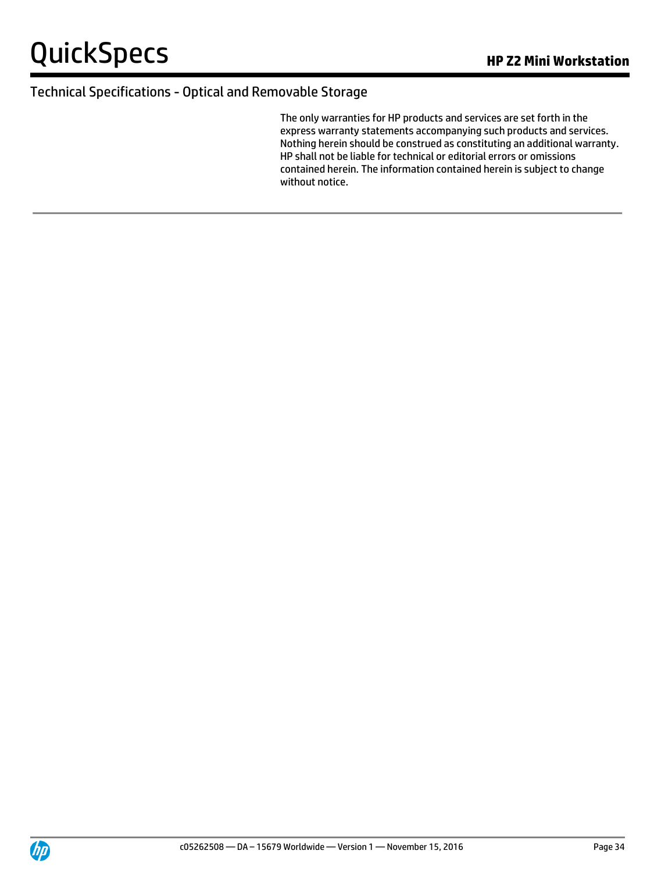#### Technical Specifications - Optical and Removable Storage

The only warranties for HP products and services are set forth in the express warranty statements accompanying such products and services. Nothing herein should be construed as constituting an additional warranty. HP shall not be liable for technical or editorial errors or omissions contained herein. The information contained herein is subject to change without notice.

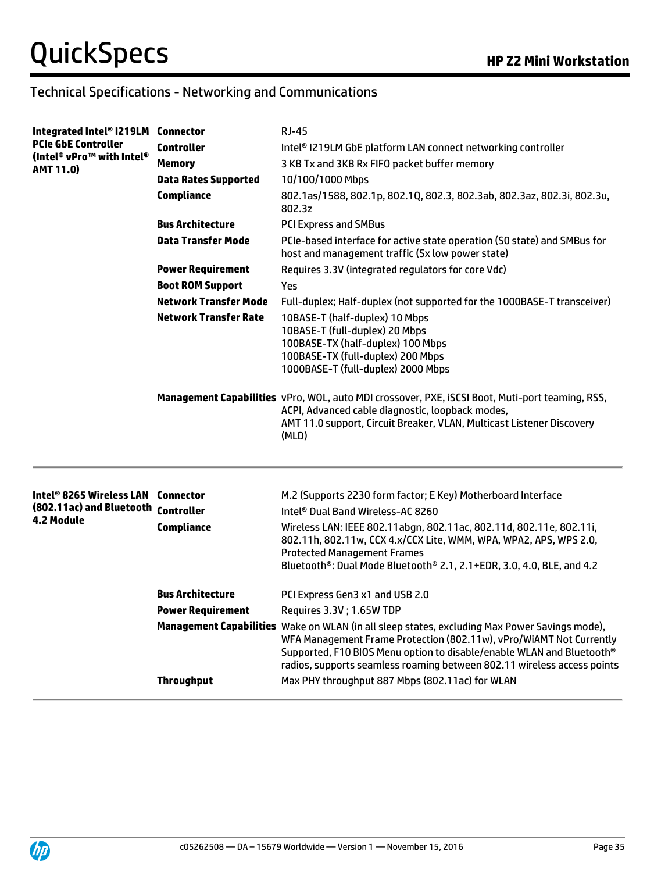## Technical Specifications - Networking and Communications

| Integrated Intel® I219LM Connector                              |                              | <b>RJ-45</b>                                                                                                                                                                                                                                                                                                             |
|-----------------------------------------------------------------|------------------------------|--------------------------------------------------------------------------------------------------------------------------------------------------------------------------------------------------------------------------------------------------------------------------------------------------------------------------|
| <b>PCIe GbE Controller</b>                                      | <b>Controller</b>            | Intel <sup>®</sup> I219LM GbE platform LAN connect networking controller                                                                                                                                                                                                                                                 |
| (Intel® vPro <sup>™</sup> with Intel®<br><b>AMT 11.0)</b>       | Memory                       | 3 KB Tx and 3KB Rx FIFO packet buffer memory                                                                                                                                                                                                                                                                             |
|                                                                 | <b>Data Rates Supported</b>  | 10/100/1000 Mbps                                                                                                                                                                                                                                                                                                         |
|                                                                 | <b>Compliance</b>            | 802.1as/1588, 802.1p, 802.1Q, 802.3, 802.3ab, 802.3az, 802.3i, 802.3u,<br>802.3z                                                                                                                                                                                                                                         |
|                                                                 | <b>Bus Architecture</b>      | <b>PCI Express and SMBus</b>                                                                                                                                                                                                                                                                                             |
|                                                                 | <b>Data Transfer Mode</b>    | PCIe-based interface for active state operation (SO state) and SMBus for<br>host and management traffic (Sx low power state)                                                                                                                                                                                             |
|                                                                 | <b>Power Requirement</b>     | Requires 3.3V (integrated regulators for core Vdc)                                                                                                                                                                                                                                                                       |
|                                                                 | <b>Boot ROM Support</b>      | Yes                                                                                                                                                                                                                                                                                                                      |
|                                                                 | <b>Network Transfer Mode</b> | Full-duplex; Half-duplex (not supported for the 1000BASE-T transceiver)                                                                                                                                                                                                                                                  |
|                                                                 | <b>Network Transfer Rate</b> | 10BASE-T (half-duplex) 10 Mbps<br>10BASE-T (full-duplex) 20 Mbps<br>100BASE-TX (half-duplex) 100 Mbps<br>100BASE-TX (full-duplex) 200 Mbps<br>1000BASE-T (full-duplex) 2000 Mbps                                                                                                                                         |
|                                                                 |                              | Management Capabilities vPro, WOL, auto MDI crossover, PXE, iSCSI Boot, Muti-port teaming, RSS,<br>ACPI, Advanced cable diagnostic, loopback modes,<br>AMT 11.0 support, Circuit Breaker, VLAN, Multicast Listener Discovery<br>(MLD)                                                                                    |
| Intel® 8265 Wireless LAN<br>(802.11ac) and Bluetooth Controller | <b>Connector</b>             | M.2 (Supports 2230 form factor; E Key) Motherboard Interface<br>Intel <sup>®</sup> Dual Band Wireless-AC 8260                                                                                                                                                                                                            |
| <b>4.2 Module</b>                                               | <b>Compliance</b>            | Wireless LAN: IEEE 802.11abgn, 802.11ac, 802.11d, 802.11e, 802.11i,<br>802.11h, 802.11w, CCX 4.x/CCX Lite, WMM, WPA, WPA2, APS, WPS 2.0,<br><b>Protected Management Frames</b><br>Bluetooth <sup>®</sup> : Dual Mode Bluetooth <sup>®</sup> 2.1, 2.1+EDR, 3.0, 4.0, BLE, and 4.2                                         |
|                                                                 | <b>Bus Architecture</b>      | PCI Express Gen3 x1 and USB 2.0                                                                                                                                                                                                                                                                                          |
|                                                                 | <b>Power Requirement</b>     | Requires 3.3V; 1.65W TDP                                                                                                                                                                                                                                                                                                 |
|                                                                 |                              | Management Capabilities Wake on WLAN (in all sleep states, excluding Max Power Savings mode),<br>WFA Management Frame Protection (802.11w), vPro/WiAMT Not Currently<br>Supported, F10 BIOS Menu option to disable/enable WLAN and Bluetooth®<br>radios, supports seamless roaming between 802.11 wireless access points |
|                                                                 | <b>Throughput</b>            | Max PHY throughput 887 Mbps (802.11ac) for WLAN                                                                                                                                                                                                                                                                          |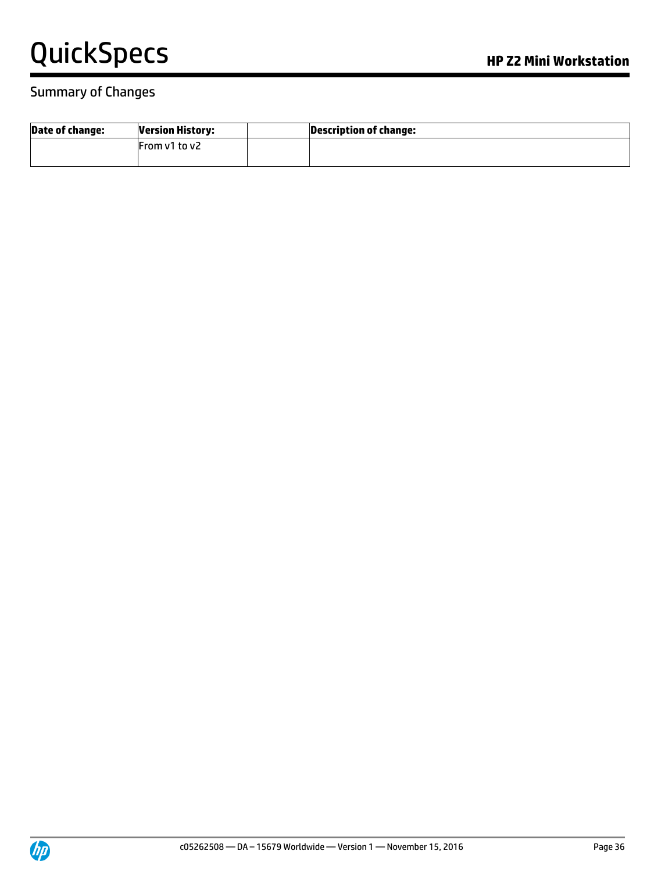#### Summary of Changes

| <b>Date of change:</b> | <b>Version History:</b> | Description of change: |
|------------------------|-------------------------|------------------------|
|                        | From v1 to v2           |                        |